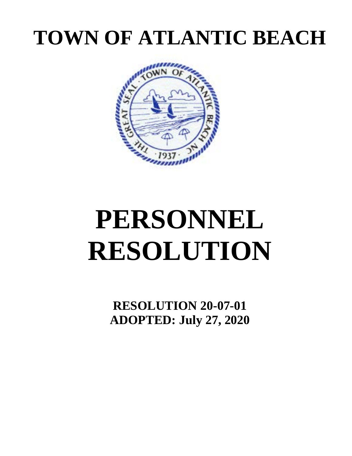## **TOWN OF ATLANTIC BEACH**



# **PERSONNEL RESOLUTION**

**RESOLUTION 20-07-01 ADOPTED: July 27, 2020**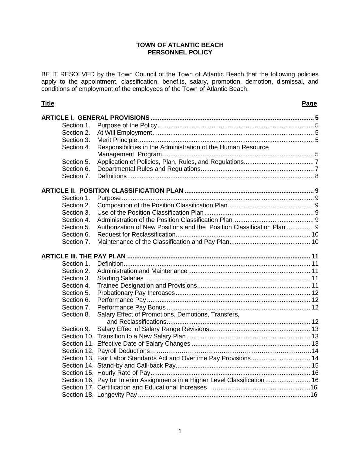#### **TOWN OF ATLANTIC BEACH PERSONNEL POLICY**

BE IT RESOLVED by the Town Council of the Town of Atlantic Beach that the following policies apply to the appointment, classification, benefits, salary, promotion, demotion, dismissal, and conditions of employment of the employees of the Town of Atlantic Beach.

| Section 1. |                                                                             |  |
|------------|-----------------------------------------------------------------------------|--|
| Section 2. |                                                                             |  |
| Section 3. |                                                                             |  |
| Section 4. | Responsibilities in the Administration of the Human Resource                |  |
|            |                                                                             |  |
| Section 5. |                                                                             |  |
| Section 6. |                                                                             |  |
| Section 7. |                                                                             |  |
|            |                                                                             |  |
| Section 1. |                                                                             |  |
| Section 2. |                                                                             |  |
| Section 3. |                                                                             |  |
| Section 4. |                                                                             |  |
| Section 5. | Authorization of New Positions and the Position Classification Plan  9      |  |
| Section 6. |                                                                             |  |
| Section 7. |                                                                             |  |
|            |                                                                             |  |
|            |                                                                             |  |
| Section 1. |                                                                             |  |
| Section 2. |                                                                             |  |
| Section 3. |                                                                             |  |
| Section 4. |                                                                             |  |
| Section 5. |                                                                             |  |
| Section 6. |                                                                             |  |
| Section 7. |                                                                             |  |
| Section 8. | Salary Effect of Promotions, Demotions, Transfers,                          |  |
|            |                                                                             |  |
| Section 9. |                                                                             |  |
|            |                                                                             |  |
|            |                                                                             |  |
|            |                                                                             |  |
|            | Section 13. Fair Labor Standards Act and Overtime Pay Provisions 14         |  |
|            |                                                                             |  |
|            |                                                                             |  |
|            | Section 16. Pay for Interim Assignments in a Higher Level Classification 16 |  |
|            |                                                                             |  |
|            |                                                                             |  |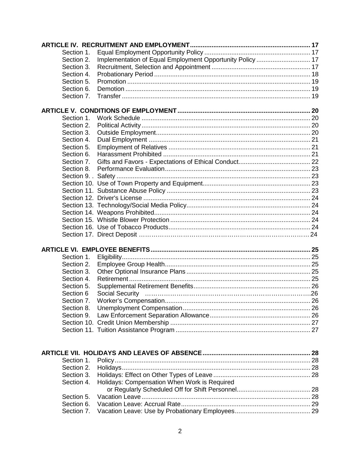| Section 1. |                                                           |  |
|------------|-----------------------------------------------------------|--|
| Section 2. | Implementation of Equal Employment Opportunity Policy  17 |  |
| Section 3. |                                                           |  |
| Section 4. |                                                           |  |
| Section 5. |                                                           |  |
| Section 6. |                                                           |  |
| Section 7. |                                                           |  |
|            |                                                           |  |
| Section 1. |                                                           |  |
| Section 2. |                                                           |  |
| Section 3. |                                                           |  |
| Section 4. |                                                           |  |
| Section 5. |                                                           |  |
| Section 6. |                                                           |  |
| Section 7. |                                                           |  |
| Section 8. |                                                           |  |
|            |                                                           |  |
|            |                                                           |  |
|            |                                                           |  |
|            |                                                           |  |
|            |                                                           |  |
|            |                                                           |  |
|            |                                                           |  |
|            |                                                           |  |
|            |                                                           |  |
|            |                                                           |  |
|            |                                                           |  |
| Section 1. |                                                           |  |
| Section 2. |                                                           |  |
| Section 3. |                                                           |  |
| Section 4. |                                                           |  |
| Section 5. |                                                           |  |
| Section 6  |                                                           |  |
| Section 7. |                                                           |  |
| Section 8. |                                                           |  |
| Section 9. |                                                           |  |
|            |                                                           |  |
|            |                                                           |  |
|            |                                                           |  |
| Section 1. |                                                           |  |
| Section 2. |                                                           |  |
| Section 3. |                                                           |  |
| Section 4. | Holidays: Compensation When Work is Required              |  |
|            |                                                           |  |
| Section 5. |                                                           |  |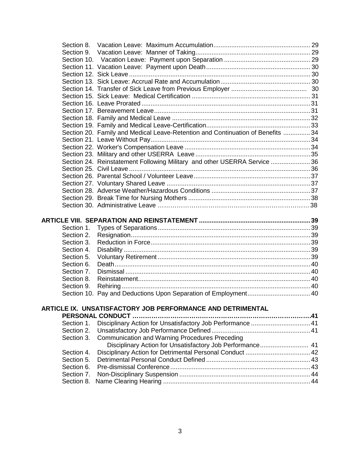| Section 9.               |                                                                                 |  |
|--------------------------|---------------------------------------------------------------------------------|--|
|                          |                                                                                 |  |
|                          |                                                                                 |  |
|                          |                                                                                 |  |
|                          |                                                                                 |  |
|                          |                                                                                 |  |
|                          |                                                                                 |  |
|                          |                                                                                 |  |
|                          |                                                                                 |  |
|                          |                                                                                 |  |
|                          |                                                                                 |  |
|                          | Section 20. Family and Medical Leave-Retention and Continuation of Benefits  34 |  |
|                          |                                                                                 |  |
|                          |                                                                                 |  |
|                          |                                                                                 |  |
|                          | Section 24. Reinstatement Following Military and other USERRA Service 36        |  |
|                          |                                                                                 |  |
|                          |                                                                                 |  |
|                          |                                                                                 |  |
|                          |                                                                                 |  |
|                          |                                                                                 |  |
|                          |                                                                                 |  |
|                          |                                                                                 |  |
|                          |                                                                                 |  |
|                          |                                                                                 |  |
| Section 1.               |                                                                                 |  |
| Section 2.               |                                                                                 |  |
| Section 3.<br>Section 4. |                                                                                 |  |
| Section 5.               |                                                                                 |  |
| Section 6.               |                                                                                 |  |
| Section 7.               |                                                                                 |  |
| Section 8.               |                                                                                 |  |
| Section 9.               |                                                                                 |  |
|                          |                                                                                 |  |
|                          |                                                                                 |  |
|                          | ARTICLE IX. UNSATISFACTORY JOB PERFORMANCE AND DETRIMENTAL                      |  |
| Section 1.               | Disciplinary Action for Unsatisfactory Job Performance  41                      |  |
| Section 2.               |                                                                                 |  |
| Section 3.               | Communication and Warning Procedures Preceding                                  |  |
|                          | Disciplinary Action for Unsatisfactory Job Performance 41                       |  |
| Section 4.               | Disciplinary Action for Detrimental Personal Conduct  42                        |  |
| Section 5.               |                                                                                 |  |
| Section 6.               |                                                                                 |  |
| Section 7.<br>Section 8. |                                                                                 |  |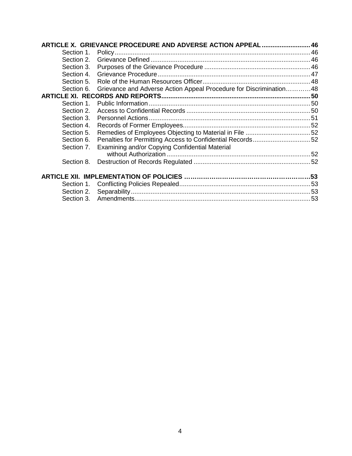|            | ARTICLE X. GRIEVANCE PROCEDURE AND ADVERSE ACTION APPEAL 46        |  |
|------------|--------------------------------------------------------------------|--|
| Section 1. |                                                                    |  |
| Section 2. |                                                                    |  |
| Section 3. |                                                                    |  |
| Section 4. |                                                                    |  |
| Section 5. |                                                                    |  |
| Section 6. | Grievance and Adverse Action Appeal Procedure for Discrimination48 |  |
|            |                                                                    |  |
| Section 1. |                                                                    |  |
| Section 2. |                                                                    |  |
| Section 3. |                                                                    |  |
| Section 4. |                                                                    |  |
| Section 5. |                                                                    |  |
| Section 6. |                                                                    |  |
| Section 7. | Examining and/or Copying Confidential Material                     |  |
|            |                                                                    |  |
| Section 8. |                                                                    |  |
|            |                                                                    |  |
|            |                                                                    |  |
|            |                                                                    |  |
|            |                                                                    |  |
|            |                                                                    |  |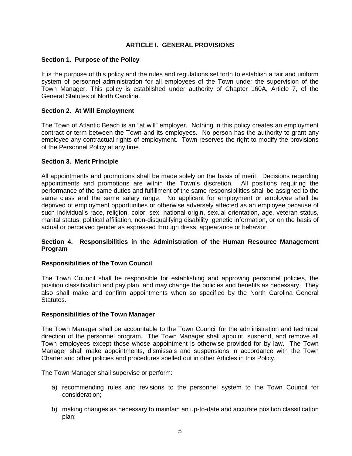#### **ARTICLE I. GENERAL PROVISIONS**

#### **Section 1. Purpose of the Policy**

It is the purpose of this policy and the rules and regulations set forth to establish a fair and uniform system of personnel administration for all employees of the Town under the supervision of the Town Manager. This policy is established under authority of Chapter 160A, Article 7, of the General Statutes of North Carolina.

#### **Section 2. At Will Employment**

The Town of Atlantic Beach is an "at will" employer. Nothing in this policy creates an employment contract or term between the Town and its employees. No person has the authority to grant any employee any contractual rights of employment. Town reserves the right to modify the provisions of the Personnel Policy at any time.

#### **Section 3. Merit Principle**

All appointments and promotions shall be made solely on the basis of merit. Decisions regarding appointments and promotions are within the Town's discretion. All positions requiring the performance of the same duties and fulfillment of the same responsibilities shall be assigned to the same class and the same salary range. No applicant for employment or employee shall be deprived of employment opportunities or otherwise adversely affected as an employee because of such individual's race, religion, color, sex, national origin, sexual orientation, age, veteran status, marital status, political affiliation, non-disqualifying disability, genetic information, or on the basis of actual or perceived gender as expressed through dress, appearance or behavior.

#### **Section 4. Responsibilities in the Administration of the Human Resource Management Program**

#### **Responsibilities of the Town Council**

The Town Council shall be responsible for establishing and approving personnel policies, the position classification and pay plan, and may change the policies and benefits as necessary. They also shall make and confirm appointments when so specified by the North Carolina General Statutes.

#### **Responsibilities of the Town Manager**

The Town Manager shall be accountable to the Town Council for the administration and technical direction of the personnel program. The Town Manager shall appoint, suspend, and remove all Town employees except those whose appointment is otherwise provided for by law. The Town Manager shall make appointments, dismissals and suspensions in accordance with the Town Charter and other policies and procedures spelled out in other Articles in this Policy.

The Town Manager shall supervise or perform:

- a) recommending rules and revisions to the personnel system to the Town Council for consideration;
- b) making changes as necessary to maintain an up-to-date and accurate position classification plan;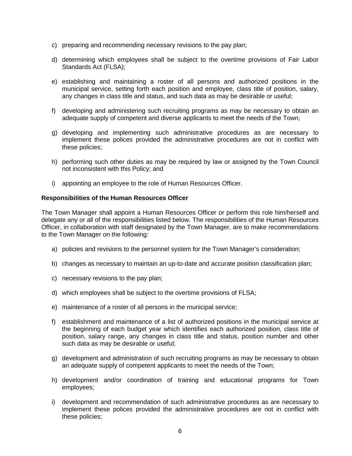- c) preparing and recommending necessary revisions to the pay plan;
- d) determining which employees shall be subject to the overtime provisions of Fair Labor Standards Act (FLSA);
- e) establishing and maintaining a roster of all persons and authorized positions in the municipal service, setting forth each position and employee, class title of position, salary, any changes in class title and status, and such data as may be desirable or useful;
- f) developing and administering such recruiting programs as may be necessary to obtain an adequate supply of competent and diverse applicants to meet the needs of the Town;
- g) developing and implementing such administrative procedures as are necessary to implement these polices provided the administrative procedures are not in conflict with these policies;
- h) performing such other duties as may be required by law or assigned by the Town Council not inconsistent with this Policy; and
- i) appointing an employee to the role of Human Resources Officer.

#### **Responsibilities of the Human Resources Officer**

The Town Manager shall appoint a Human Resources Officer or perform this role him/herself and delegate any or all of the responsibilities listed below. The responsibilities of the Human Resources Officer, in collaboration with staff designated by the Town Manager, are to make recommendations to the Town Manager on the following*:*

- a) policies and revisions to the personnel system for the Town Manager's consideration;
- b) changes as necessary to maintain an up-to-date and accurate position classification plan;
- c) necessary revisions to the pay plan;
- d) which employees shall be subject to the overtime provisions of FLSA;
- e) maintenance of a roster of all persons in the municipal service;
- f) establishment and maintenance of a list of authorized positions in the municipal service at the beginning of each budget year which identifies each authorized position, class title of position, salary range, any changes in class title and status, position number and other such data as may be desirable or useful;
- g) development and administration of such recruiting programs as may be necessary to obtain an adequate supply of competent applicants to meet the needs of the Town;
- h) development and/or coordination of training and educational programs for Town employees;
- i) development and recommendation of such administrative procedures as are necessary to implement these polices provided the administrative procedures are not in conflict with these policies;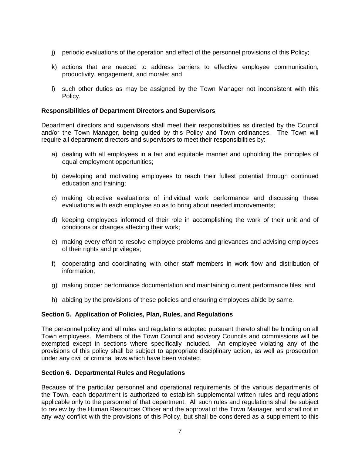- j) periodic evaluations of the operation and effect of the personnel provisions of this Policy;
- k) actions that are needed to address barriers to effective employee communication, productivity, engagement, and morale; and
- l) such other duties as may be assigned by the Town Manager not inconsistent with this Policy.

#### **Responsibilities of Department Directors and Supervisors**

Department directors and supervisors shall meet their responsibilities as directed by the Council and/or the Town Manager, being guided by this Policy and Town ordinances. The Town will require all department directors and supervisors to meet their responsibilities by:

- a) dealing with all employees in a fair and equitable manner and upholding the principles of equal employment opportunities;
- b) developing and motivating employees to reach their fullest potential through continued education and training;
- c) making objective evaluations of individual work performance and discussing these evaluations with each employee so as to bring about needed improvements;
- d) keeping employees informed of their role in accomplishing the work of their unit and of conditions or changes affecting their work;
- e) making every effort to resolve employee problems and grievances and advising employees of their rights and privileges;
- f) cooperating and coordinating with other staff members in work flow and distribution of information;
- g) making proper performance documentation and maintaining current performance files; and
- h) abiding by the provisions of these policies and ensuring employees abide by same.

#### **Section 5. Application of Policies, Plan, Rules, and Regulations**

The personnel policy and all rules and regulations adopted pursuant thereto shall be binding on all Town employees. Members of the Town Council and advisory Councils and commissions will be exempted except in sections where specifically included. An employee violating any of the provisions of this policy shall be subject to appropriate disciplinary action, as well as prosecution under any civil or criminal laws which have been violated.

#### **Section 6. Departmental Rules and Regulations**

Because of the particular personnel and operational requirements of the various departments of the Town, each department is authorized to establish supplemental written rules and regulations applicable only to the personnel of that department. All such rules and regulations shall be subject to review by the Human Resources Officer and the approval of the Town Manager, and shall not in any way conflict with the provisions of this Policy, but shall be considered as a supplement to this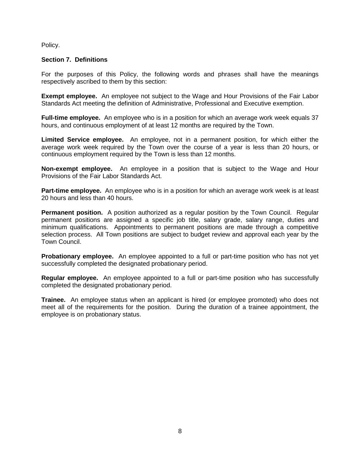Policy.

#### **Section 7. Definitions**

For the purposes of this Policy, the following words and phrases shall have the meanings respectively ascribed to them by this section:

**Exempt employee.** An employee not subject to the Wage and Hour Provisions of the Fair Labor Standards Act meeting the definition of Administrative, Professional and Executive exemption.

**Full-time employee.** An employee who is in a position for which an average work week equals 37 hours, and continuous employment of at least 12 months are required by the Town.

**Limited Service employee.** An employee, not in a permanent position, for which either the average work week required by the Town over the course of a year is less than 20 hours, or continuous employment required by the Town is less than 12 months.

**Non-exempt employee.** An employee in a position that is subject to the Wage and Hour Provisions of the Fair Labor Standards Act.

**Part-time employee.** An employee who is in a position for which an average work week is at least 20 hours and less than 40 hours.

**Permanent position.** A position authorized as a regular position by the Town Council. Regular permanent positions are assigned a specific job title, salary grade, salary range, duties and minimum qualifications. Appointments to permanent positions are made through a competitive selection process. All Town positions are subject to budget review and approval each year by the Town Council.

**Probationary employee.** An employee appointed to a full or part-time position who has not yet successfully completed the designated probationary period.

**Regular employee.** An employee appointed to a full or part-time position who has successfully completed the designated probationary period.

**Trainee.** An employee status when an applicant is hired (or employee promoted) who does not meet all of the requirements for the position. During the duration of a trainee appointment, the employee is on probationary status.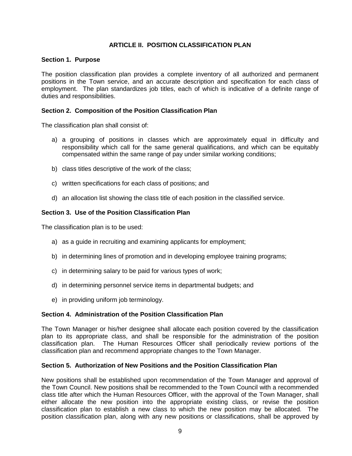### **ARTICLE II. POSITION CLASSIFICATION PLAN**

#### **Section 1. Purpose**

The position classification plan provides a complete inventory of all authorized and permanent positions in the Town service, and an accurate description and specification for each class of employment. The plan standardizes job titles, each of which is indicative of a definite range of duties and responsibilities.

#### **Section 2. Composition of the Position Classification Plan**

The classification plan shall consist of:

- a) a grouping of positions in classes which are approximately equal in difficulty and responsibility which call for the same general qualifications, and which can be equitably compensated within the same range of pay under similar working conditions;
- b) class titles descriptive of the work of the class;
- c) written specifications for each class of positions; and
- d) an allocation list showing the class title of each position in the classified service.

#### **Section 3. Use of the Position Classification Plan**

The classification plan is to be used:

- a) as a guide in recruiting and examining applicants for employment;
- b) in determining lines of promotion and in developing employee training programs;
- c) in determining salary to be paid for various types of work;
- d) in determining personnel service items in departmental budgets; and
- e) in providing uniform job terminology.

#### **Section 4. Administration of the Position Classification Plan**

The Town Manager or his/her designee shall allocate each position covered by the classification plan to its appropriate class, and shall be responsible for the administration of the position classification plan. The Human Resources Officer shall periodically review portions of the classification plan and recommend appropriate changes to the Town Manager.

#### **Section 5. Authorization of New Positions and the Position Classification Plan**

New positions shall be established upon recommendation of the Town Manager and approval of the Town Council. New positions shall be recommended to the Town Council with a recommended class title after which the Human Resources Officer, with the approval of the Town Manager, shall either allocate the new position into the appropriate existing class, or revise the position classification plan to establish a new class to which the new position may be allocated. The position classification plan, along with any new positions or classifications, shall be approved by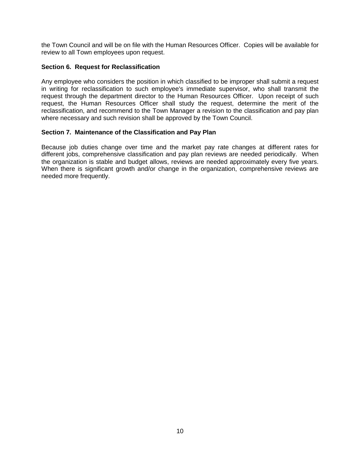the Town Council and will be on file with the Human Resources Officer. Copies will be available for review to all Town employees upon request.

#### **Section 6. Request for Reclassification**

Any employee who considers the position in which classified to be improper shall submit a request in writing for reclassification to such employee's immediate supervisor, who shall transmit the request through the department director to the Human Resources Officer. Upon receipt of such request, the Human Resources Officer shall study the request, determine the merit of the reclassification, and recommend to the Town Manager a revision to the classification and pay plan where necessary and such revision shall be approved by the Town Council.

#### **Section 7. Maintenance of the Classification and Pay Plan**

Because job duties change over time and the market pay rate changes at different rates for different jobs, comprehensive classification and pay plan reviews are needed periodically. When the organization is stable and budget allows, reviews are needed approximately every five years. When there is significant growth and/or change in the organization, comprehensive reviews are needed more frequently.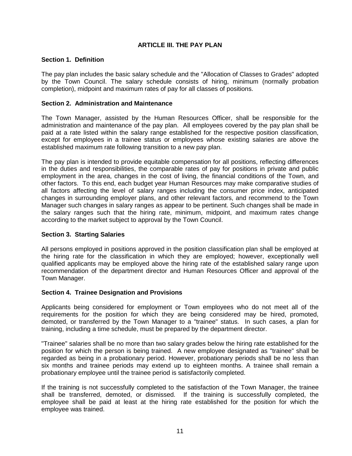#### **ARTICLE III. THE PAY PLAN**

#### **Section 1. Definition**

The pay plan includes the basic salary schedule and the "Allocation of Classes to Grades" adopted by the Town Council. The salary schedule consists of hiring, minimum (normally probation completion), midpoint and maximum rates of pay for all classes of positions.

#### **Section 2. Administration and Maintenance**

The Town Manager, assisted by the Human Resources Officer, shall be responsible for the administration and maintenance of the pay plan. All employees covered by the pay plan shall be paid at a rate listed within the salary range established for the respective position classification, except for employees in a trainee status or employees whose existing salaries are above the established maximum rate following transition to a new pay plan.

The pay plan is intended to provide equitable compensation for all positions, reflecting differences in the duties and responsibilities, the comparable rates of pay for positions in private and public employment in the area, changes in the cost of living, the financial conditions of the Town, and other factors. To this end, each budget year Human Resources may make comparative studies of all factors affecting the level of salary ranges including the consumer price index, anticipated changes in surrounding employer plans, and other relevant factors, and recommend to the Town Manager such changes in salary ranges as appear to be pertinent. Such changes shall be made in the salary ranges such that the hiring rate, minimum, midpoint, and maximum rates change according to the market subject to approval by the Town Council.

#### **Section 3. Starting Salaries**

All persons employed in positions approved in the position classification plan shall be employed at the hiring rate for the classification in which they are employed; however, exceptionally well qualified applicants may be employed above the hiring rate of the established salary range upon recommendation of the department director and Human Resources Officer and approval of the Town Manager.

#### **Section 4. Trainee Designation and Provisions**

Applicants being considered for employment or Town employees who do not meet all of the requirements for the position for which they are being considered may be hired, promoted, demoted, or transferred by the Town Manager to a "trainee" status. In such cases, a plan for training, including a time schedule, must be prepared by the department director.

"Trainee" salaries shall be no more than two salary grades below the hiring rate established for the position for which the person is being trained. A new employee designated as "trainee" shall be regarded as being in a probationary period. However, probationary periods shall be no less than six months and trainee periods may extend up to eighteen months. A trainee shall remain a probationary employee until the trainee period is satisfactorily completed.

If the training is not successfully completed to the satisfaction of the Town Manager, the trainee shall be transferred, demoted, or dismissed. If the training is successfully completed, the employee shall be paid at least at the hiring rate established for the position for which the employee was trained.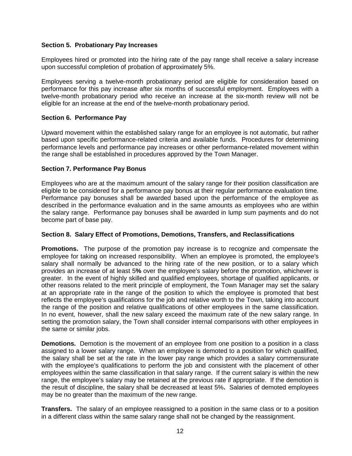#### **Section 5. Probationary Pay Increases**

Employees hired or promoted into the hiring rate of the pay range shall receive a salary increase upon successful completion of probation of approximately 5%.

Employees serving a twelve-month probationary period are eligible for consideration based on performance for this pay increase after six months of successful employment. Employees with a twelve-month probationary period who receive an increase at the six-month review will not be eligible for an increase at the end of the twelve-month probationary period.

#### **Section 6. Performance Pay**

Upward movement within the established salary range for an employee is not automatic, but rather based upon specific performance-related criteria and available funds. Procedures for determining performance levels and performance pay increases or other performance-related movement within the range shall be established in procedures approved by the Town Manager.

#### **Section 7. Performance Pay Bonus**

Employees who are at the maximum amount of the salary range for their position classification are eligible to be considered for a performance pay bonus at their regular performance evaluation time. Performance pay bonuses shall be awarded based upon the performance of the employee as described in the performance evaluation and in the same amounts as employees who are within the salary range. Performance pay bonuses shall be awarded in lump sum payments and do not become part of base pay.

#### **Section 8. Salary Effect of Promotions, Demotions, Transfers, and Reclassifications**

**Promotions.** The purpose of the promotion pay increase is to recognize and compensate the employee for taking on increased responsibility. When an employee is promoted, the employee's salary shall normally be advanced to the hiring rate of the new position, or to a salary which provides an increase of at least 5**%** over the employee's salary before the promotion, whichever is greater. In the event of highly skilled and qualified employees, shortage of qualified applicants, or other reasons related to the merit principle of employment, the Town Manager may set the salary at an appropriate rate in the range of the position to which the employee is promoted that best reflects the employee's qualifications for the job and relative worth to the Town, taking into account the range of the position and relative qualifications of other employees in the same classification. In no event, however, shall the new salary exceed the maximum rate of the new salary range. In setting the promotion salary, the Town shall consider internal comparisons with other employees in the same or similar jobs.

**Demotions.** Demotion is the movement of an employee from one position to a position in a class assigned to a lower salary range. When an employee is demoted to a position for which qualified, the salary shall be set at the rate in the lower pay range which provides a salary commensurate with the employee's qualifications to perform the job and consistent with the placement of other employees within the same classification in that salary range. If the current salary is within the new range, the employee's salary may be retained at the previous rate if appropriate. If the demotion is the result of discipline, the salary shall be decreased at least 5%**.** Salaries of demoted employees may be no greater than the maximum of the new range.

**Transfers.** The salary of an employee reassigned to a position in the same class or to a position in a different class within the same salary range shall not be changed by the reassignment.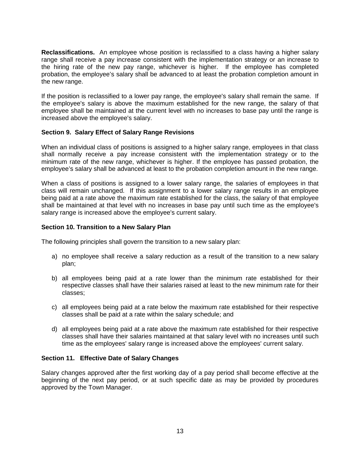**Reclassifications.**An employee whose position is reclassified to a class having a higher salary range shall receive a pay increase consistent with the implementation strategy or an increase to the hiring rate of the new pay range, whichever is higher. If the employee has completed probation, the employee's salary shall be advanced to at least the probation completion amount in the new range.

If the position is reclassified to a lower pay range, the employee's salary shall remain the same. If the employee's salary is above the maximum established for the new range, the salary of that employee shall be maintained at the current level with no increases to base pay until the range is increased above the employee's salary.

#### **Section 9. Salary Effect of Salary Range Revisions**

When an individual class of positions is assigned to a higher salary range, employees in that class shall normally receive a pay increase consistent with the implementation strategy or to the minimum rate of the new range, whichever is higher. If the employee has passed probation, the employee's salary shall be advanced at least to the probation completion amount in the new range.

When a class of positions is assigned to a lower salary range, the salaries of employees in that class will remain unchanged. If this assignment to a lower salary range results in an employee being paid at a rate above the maximum rate established for the class, the salary of that employee shall be maintained at that level with no increases in base pay until such time as the employee's salary range is increased above the employee's current salary.

#### **Section 10. Transition to a New Salary Plan**

The following principles shall govern the transition to a new salary plan:

- a) no employee shall receive a salary reduction as a result of the transition to a new salary plan;
- b) all employees being paid at a rate lower than the minimum rate established for their respective classes shall have their salaries raised at least to the new minimum rate for their classes;
- c) all employees being paid at a rate below the maximum rate established for their respective classes shall be paid at a rate within the salary schedule; and
- d) all employees being paid at a rate above the maximum rate established for their respective classes shall have their salaries maintained at that salary level with no increases until such time as the employees' salary range is increased above the employees' current salary.

#### **Section 11. Effective Date of Salary Changes**

Salary changes approved after the first working day of a pay period shall become effective at the beginning of the next pay period, or at such specific date as may be provided by procedures approved by the Town Manager.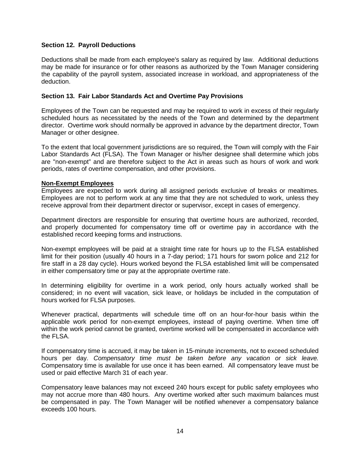#### **Section 12. Payroll Deductions**

Deductions shall be made from each employee's salary as required by law. Additional deductions may be made for insurance or for other reasons as authorized by the Town Manager considering the capability of the payroll system, associated increase in workload, and appropriateness of the deduction.

#### **Section 13. Fair Labor Standards Act and Overtime Pay Provisions**

Employees of the Town can be requested and may be required to work in excess of their regularly scheduled hours as necessitated by the needs of the Town and determined by the department director. Overtime work should normally be approved in advance by the department director, Town Manager or other designee.

To the extent that local government jurisdictions are so required, the Town will comply with the Fair Labor Standards Act (FLSA). The Town Manager or his/her designee shall determine which jobs are "non-exempt" and are therefore subject to the Act in areas such as hours of work and work periods, rates of overtime compensation, and other provisions.

#### **Non-Exempt Employees**

Employees are expected to work during all assigned periods exclusive of breaks or mealtimes. Employees are not to perform work at any time that they are not scheduled to work, unless they receive approval from their department director or supervisor, except in cases of emergency.

Department directors are responsible for ensuring that overtime hours are authorized, recorded, and properly documented for compensatory time off or overtime pay in accordance with the established record keeping forms and instructions.

Non-exempt employees will be paid at a straight time rate for hours up to the FLSA established limit for their position (usually 40 hours in a 7-day period; 171 hours for sworn police and 212 for fire staff in a 28 day cycle). Hours worked beyond the FLSA established limit will be compensated in either compensatory time or pay at the appropriate overtime rate.

In determining eligibility for overtime in a work period, only hours actually worked shall be considered; in no event will vacation, sick leave, or holidays be included in the computation of hours worked for FLSA purposes.

Whenever practical, departments will schedule time off on an hour-for-hour basis within the applicable work period for non-exempt employees, instead of paying overtime. When time off within the work period cannot be granted, overtime worked will be compensated in accordance with the FLSA.

If compensatory time is accrued, it may be taken in 15-minute increments, not to exceed scheduled hours per day. *Compensatory time must be taken before any vacation or sick leave.* Compensatory time is available for use once it has been earned. All compensatory leave must be used or paid effective March 31 of each year.

Compensatory leave balances may not exceed 240 hours except for public safety employees who may not accrue more than 480 hours. Any overtime worked after such maximum balances must be compensated in pay. The Town Manager will be notified whenever a compensatory balance exceeds 100 hours.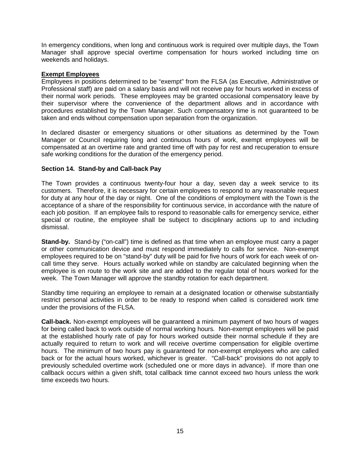In emergency conditions, when long and continuous work is required over multiple days, the Town Manager shall approve special overtime compensation for hours worked including time on weekends and holidays.

#### **Exempt Employees**

Employees in positions determined to be "exempt" from the FLSA (as Executive, Administrative or Professional staff) are paid on a salary basis and will not receive pay for hours worked in excess of their normal work periods. These employees may be granted occasional compensatory leave by their supervisor where the convenience of the department allows and in accordance with procedures established by the Town Manager. Such compensatory time is not guaranteed to be taken and ends without compensation upon separation from the organization.

In declared disaster or emergency situations or other situations as determined by the Town Manager or Council requiring long and continuous hours of work, exempt employees will be compensated at an overtime rate and granted time off with pay for rest and recuperation to ensure safe working conditions for the duration of the emergency period.

#### **Section 14. Stand-by and Call-back Pay**

The Town provides a continuous twenty-four hour a day, seven day a week service to its customers. Therefore, it is necessary for certain employees to respond to any reasonable request for duty at any hour of the day or night. One of the conditions of employment with the Town is the acceptance of a share of the responsibility for continuous service, in accordance with the nature of each job position. If an employee fails to respond to reasonable calls for emergency service, either special or routine, the employee shall be subject to disciplinary actions up to and including dismissal.

**Stand-by.** Stand-by ("on-call") time is defined as that time when an employee must carry a pager or other communication device and must respond immediately to calls for service. Non-exempt employees required to be on "stand-by" duty will be paid for five hours of work for each week of oncall time they serve. Hours actually worked while on standby are calculated beginning when the employee is en route to the work site and are added to the regular total of hours worked for the week. The Town Manager will approve the standby rotation for each department.

Standby time requiring an employee to remain at a designated location or otherwise substantially restrict personal activities in order to be ready to respond when called is considered work time under the provisions of the FLSA.

**Call-back.** Non-exempt employees will be guaranteed a minimum payment of two hours of wages for being called back to work outside of normal working hours*.* Non-exempt employees will be paid at the established hourly rate of pay for hours worked outside their normal schedule if they are actually required to return to work and will receive overtime compensation for eligible overtime hours. The minimum of two hours pay is guaranteed for non-exempt employees who are called back or for the actual hours worked, whichever is greater. "Call-back" provisions do not apply to previously scheduled overtime work (scheduled one or more days in advance). If more than one callback occurs within a given shift, total callback time cannot exceed two hours unless the work time exceeds two hours.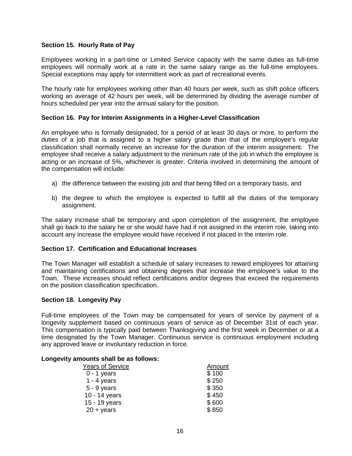#### **Section 15. Hourly Rate of Pay**

Employees working in a part-time or Limited Service capacity with the same duties as full-time employees will normally work at a rate in the same salary range as the full-time employees. Special exceptions may apply for intermittent work as part of recreational events.

The hourly rate for employees working other than 40 hours per week, such as shift police officers working an average of 42 hours per week, will be determined by dividing the average number of hours scheduled per year into the annual salary for the position.

#### **Section 16. Pay for Interim Assignments in a Higher-Level Classification**

An employee who is formally designated, for a period of at least 30 days or more, to perform the duties of a job that is assigned to a higher salary grade than that of the employee's regular classification shall normally receive an increase for the duration of the interim assignment. The employee shall receive a salary adjustment to the minimum rate of the job in which the employee is acting or an increase of 5%, whichever is greater. Criteria involved in determining the amount of the compensation will include:

- a) the difference between the existing job and that being filled on a temporary basis, and
- b) the degree to which the employee is expected to fulfill all the duties of the temporary assignment.

The salary increase shall be temporary and upon completion of the assignment, the employee shall go back to the salary he or she would have had if not assigned in the interim role, taking into account any increase the employee would have received if not placed in the interim role.

#### **Section 17. Certification and Educational Increases**

The Town Manager will establish a schedule of salary increases to reward employees for attaining and maintaining certifications and obtaining degrees that increase the employee's value to the Town. These increases should reflect certifications and/or degrees that exceed the requirements on the position classification specification.

#### **Section 18. Longevity Pay**

Full-time employees of the Town may be compensated for years of service by payment of a longevity supplement based on continuous years of service as of December 31st of each year. This compensation is typically paid between Thanksgiving and the first week in December or at a time designated by the Town Manager. Continuous service is continuous employment including any approved leave or involuntary reduction in force.

#### **Longevity amounts shall be as follows:**

| <b>Years of Service</b> | <b>Amount</b> |
|-------------------------|---------------|
| $0 - 1$ years           | \$100         |
| $1 - 4$ years           | \$250         |
| $5 - 9$ years           | \$350         |
| 10 - 14 years           | \$450         |
| 15 - 19 years           | \$600         |
| $20 + \text{years}$     | \$850         |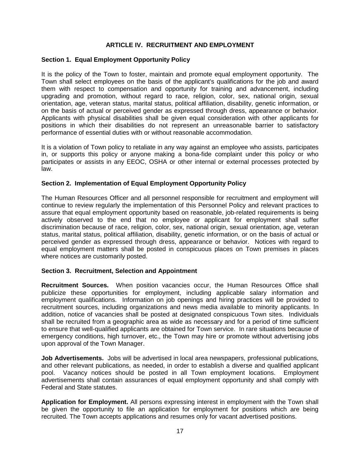#### **ARTICLE IV. RECRUITMENT AND EMPLOYMENT**

#### **Section 1. Equal Employment Opportunity Policy**

It is the policy of the Town to foster, maintain and promote equal employment opportunity. The Town shall select employees on the basis of the applicant's qualifications for the job and award them with respect to compensation and opportunity for training and advancement, including upgrading and promotion, without regard to race, religion, color, sex, national origin, sexual orientation, age, veteran status, marital status, political affiliation, disability, genetic information, or on the basis of actual or perceived gender as expressed through dress, appearance or behavior. Applicants with physical disabilities shall be given equal consideration with other applicants for positions in which their disabilities do not represent an unreasonable barrier to satisfactory performance of essential duties with or without reasonable accommodation.

It is a violation of Town policy to retaliate in any way against an employee who assists, participates in, or supports this policy or anyone making a bona-fide complaint under this policy or who participates or assists in any EEOC, OSHA or other internal or external processes protected by law.

#### **Section 2. Implementation of Equal Employment Opportunity Policy**

The Human Resources Officer and all personnel responsible for recruitment and employment will continue to review regularly the implementation of this Personnel Policy and relevant practices to assure that equal employment opportunity based on reasonable, job-related requirements is being actively observed to the end that no employee or applicant for employment shall suffer discrimination because of race, religion, color, sex, national origin, sexual orientation, age, veteran status, marital status, political affiliation, disability, genetic information, or on the basis of actual or perceived gender as expressed through dress, appearance or behavior. Notices with regard to equal employment matters shall be posted in conspicuous places on Town premises in places where notices are customarily posted.

#### **Section 3. Recruitment, Selection and Appointment**

**Recruitment Sources.** When position vacancies occur, the Human Resources Office shall publicize these opportunities for employment, including applicable salary information and employment qualifications. Information on job openings and hiring practices will be provided to recruitment sources, including organizations and news media available to minority applicants. In addition, notice of vacancies shall be posted at designated conspicuous Town sites. Individuals shall be recruited from a geographic area as wide as necessary and for a period of time sufficient to ensure that well-qualified applicants are obtained for Town service. In rare situations because of emergency conditions, high turnover, etc., the Town may hire or promote without advertising jobs upon approval of the Town Manager.

**Job Advertisements.** Jobs will be advertised in local area newspapers, professional publications, and other relevant publications, as needed, in order to establish a diverse and qualified applicant pool. Vacancy notices should be posted in all Town employment locations. Employment advertisements shall contain assurances of equal employment opportunity and shall comply with Federal and State statutes.

**Application for Employment.** All persons expressing interest in employment with the Town shall be given the opportunity to file an application for employment for positions which are being recruited. The Town accepts applications and resumes only for vacant advertised positions.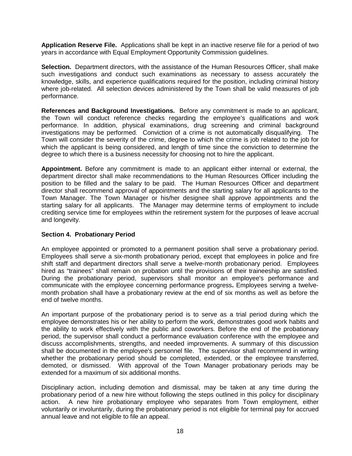**Application Reserve File.** Applications shall be kept in an inactive reserve file for a period of two years in accordance with Equal Employment Opportunity Commission guidelines.

**Selection.** Department directors, with the assistance of the Human Resources Officer, shall make such investigations and conduct such examinations as necessary to assess accurately the knowledge, skills, and experience qualifications required for the position, including criminal history where job-related. All selection devices administered by the Town shall be valid measures of job performance.

**References and Background Investigations.** Before any commitment is made to an applicant, the Town will conduct reference checks regarding the employee's qualifications and work performance. In addition, physical examinations, drug screening and criminal background investigations may be performed. Conviction of a crime is not automatically disqualifying. The Town will consider the severity of the crime, degree to which the crime is job related to the job for which the applicant is being considered, and length of time since the conviction to determine the degree to which there is a business necessity for choosing not to hire the applicant.

**Appointment.** Before any commitment is made to an applicant either internal or external, the department director shall make recommendations to the Human Resources Officer including the position to be filled and the salary to be paid. The Human Resources Officer and department director shall recommend approval of appointments and the starting salary for all applicants to the Town Manager. The Town Manager or his/her designee shall approve appointments and the starting salary for all applicants. The Manager may determine terms of employment to include crediting service time for employees within the retirement system for the purposes of leave accrual and longevity.

#### **Section 4. Probationary Period**

An employee appointed or promoted to a permanent position shall serve a probationary period. Employees shall serve a six-month probationary period, except that employees in police and fire shift staff and department directors shall serve a twelve-month probationary period. Employees hired as "trainees" shall remain on probation until the provisions of their traineeship are satisfied. During the probationary period, supervisors shall monitor an employee's performance and communicate with the employee concerning performance progress**.** Employees serving a twelvemonth probation shall have a probationary review at the end of six months as well as before the end of twelve months.

An important purpose of the probationary period is to serve as a trial period during which the employee demonstrates his or her ability to perform the work, demonstrates good work habits and the ability to work effectively with the public and coworkers. Before the end of the probationary period, the supervisor shall conduct a performance evaluation conference with the employee and discuss accomplishments, strengths, and needed improvements. A summary of this discussion shall be documented in the employee's personnel file. The supervisor shall recommend in writing whether the probationary period should be completed, extended, or the employee transferred, demoted, or dismissed. With approval of the Town Manager probationary periods may be extended for a maximum of six additional months.

Disciplinary action, including demotion and dismissal, may be taken at any time during the probationary period of a new hire without following the steps outlined in this policy for disciplinary action. A new hire probationary employee who separates from Town employment, either voluntarily or involuntarily, during the probationary period is not eligible for terminal pay for accrued annual leave and not eligible to file an appeal.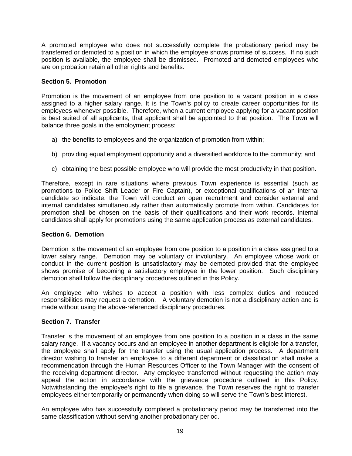A promoted employee who does not successfully complete the probationary period may be transferred or demoted to a position in which the employee shows promise of success. If no such position is available, the employee shall be dismissed. Promoted and demoted employees who are on probation retain all other rights and benefits.

#### **Section 5. Promotion**

Promotion is the movement of an employee from one position to a vacant position in a class assigned to a higher salary range. It is the Town's policy to create career opportunities for its employees whenever possible. Therefore, when a current employee applying for a vacant position is best suited of all applicants, that applicant shall be appointed to that position. The Town will balance three goals in the employment process:

- a) the benefits to employees and the organization of promotion from within;
- b) providing equal employment opportunity and a diversified workforce to the community; and
- c) obtaining the best possible employee who will provide the most productivity in that position.

Therefore, except in rare situations where previous Town experience is essential (such as promotions to Police Shift Leader or Fire Captain), or exceptional qualifications of an internal candidate so indicate, the Town will conduct an open recruitment and consider external and internal candidates simultaneously rather than automatically promote from within. Candidates for promotion shall be chosen on the basis of their qualifications and their work records. Internal candidates shall apply for promotions using the same application process as external candidates.

#### **Section 6. Demotion**

Demotion is the movement of an employee from one position to a position in a class assigned to a lower salary range. Demotion may be voluntary or involuntary. An employee whose work or conduct in the current position is unsatisfactory may be demoted provided that the employee shows promise of becoming a satisfactory employee in the lower position. Such disciplinary demotion shall follow the disciplinary procedures outlined in this Policy.

An employee who wishes to accept a position with less complex duties and reduced responsibilities may request a demotion. A voluntary demotion is not a disciplinary action and is made without using the above-referenced disciplinary procedures.

#### **Section 7. Transfer**

Transfer is the movement of an employee from one position to a position in a class in the same salary range. If a vacancy occurs and an employee in another department is eligible for a transfer, the employee shall apply for the transfer using the usual application process. A department director wishing to transfer an employee to a different department or classification shall make a recommendation through the Human Resources Officer to the Town Manager with the consent of the receiving department director. Any employee transferred without requesting the action may appeal the action in accordance with the grievance procedure outlined in this Policy. Notwithstanding the employee's right to file a grievance, the Town reserves the right to transfer employees either temporarily or permanently when doing so will serve the Town's best interest.

An employee who has successfully completed a probationary period may be transferred into the same classification without serving another probationary period.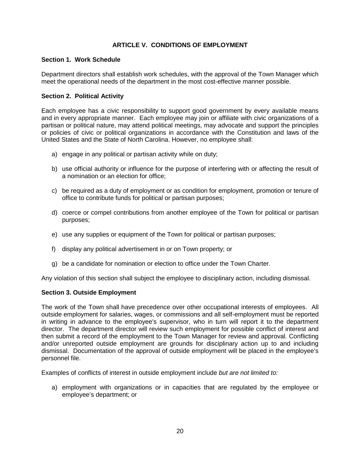### **ARTICLE V. CONDITIONS OF EMPLOYMENT**

#### **Section 1. Work Schedule**

Department directors shall establish work schedules, with the approval of the Town Manager which meet the operational needs of the department in the most cost-effective manner possible.

#### **Section 2. Political Activity**

Each employee has a civic responsibility to support good government by every available means and in every appropriate manner. Each employee may join or affiliate with civic organizations of a partisan or political nature, may attend political meetings, may advocate and support the principles or policies of civic or political organizations in accordance with the Constitution and laws of the United States and the State of North Carolina. However, no employee shall:

- a) engage in any political or partisan activity while on duty;
- b) use official authority or influence for the purpose of interfering with or affecting the result of a nomination or an election for office;
- c) be required as a duty of employment or as condition for employment, promotion or tenure of office to contribute funds for political or partisan purposes;
- d) coerce or compel contributions from another employee of the Town for political or partisan purposes;
- e) use any supplies or equipment of the Town for political or partisan purposes;
- f) display any political advertisement in or on Town property; or
- g) be a candidate for nomination or election to office under the Town Charter.

Any violation of this section shall subject the employee to disciplinary action, including dismissal.

#### **Section 3. Outside Employment**

The work of the Town shall have precedence over other occupational interests of employees. All outside employment for salaries, wages, or commissions and all self-employment must be reported in writing in advance to the employee's supervisor, who in turn will report it to the department director. The department director will review such employment for possible conflict of interest and then submit a record of the employment to the Town Manager for review and approval. Conflicting and/or unreported outside employment are grounds for disciplinary action up to and including dismissal. Documentation of the approval of outside employment will be placed in the employee's personnel file.

Examples of conflicts of interest in outside employment include *but are not limited to:*

a) employment with organizations or in capacities that are regulated by the employee or employee's department; or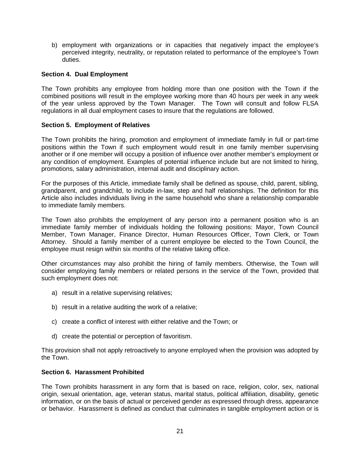b) employment with organizations or in capacities that negatively impact the employee's perceived integrity, neutrality, or reputation related to performance of the employee's Town duties.

#### **Section 4. Dual Employment**

The Town prohibits any employee from holding more than one position with the Town if the combined positions will result in the employee working more than 40 hours per week in any week of the year unless approved by the Town Manager. The Town will consult and follow FLSA regulations in all dual employment cases to insure that the regulations are followed.

#### **Section 5. Employment of Relatives**

The Town prohibits the hiring, promotion and employment of immediate family in full or part-time positions within the Town if such employment would result in one family member supervising another or if one member will occupy a position of influence over another member's employment or any condition of employment. Examples of potential influence include but are not limited to hiring, promotions, salary administration, internal audit and disciplinary action.

For the purposes of this Article, immediate family shall be defined as spouse, child, parent, sibling, grandparent, and grandchild, to include in-law, step and half relationships. The definition for this Article also includes individuals living in the same household who share a relationship comparable to immediate family members.

The Town also prohibits the employment of any person into a permanent position who is an immediate family member of individuals holding the following positions: Mayor, Town Council Member, Town Manager, Finance Director, Human Resources Officer, Town Clerk, or Town Attorney. Should a family member of a current employee be elected to the Town Council, the employee must resign within six months of the relative taking office.

Other circumstances may also prohibit the hiring of family members. Otherwise, the Town will consider employing family members or related persons in the service of the Town, provided that such employment does not:

- a) result in a relative supervising relatives;
- b) result in a relative auditing the work of a relative;
- c) create a conflict of interest with either relative and the Town; or
- d) create the potential or perception of favoritism.

This provision shall not apply retroactively to anyone employed when the provision was adopted by the Town.

#### **Section 6. Harassment Prohibited**

The Town prohibits harassment in any form that is based on race, religion, color, sex, national origin, sexual orientation, age, veteran status, marital status, political affiliation, disability, genetic information, or on the basis of actual or perceived gender as expressed through dress, appearance or behavior. Harassment is defined as conduct that culminates in tangible employment action or is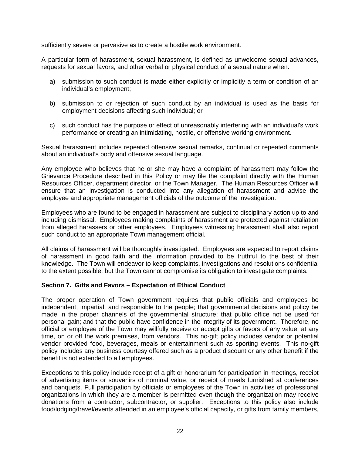sufficiently severe or pervasive as to create a hostile work environment*.* 

A particular form of harassment, sexual harassment, is defined as unwelcome sexual advances, requests for sexual favors, and other verbal or physical conduct of a sexual nature when:

- a) submission to such conduct is made either explicitly or implicitly a term or condition of an individual's employment;
- b) submission to or rejection of such conduct by an individual is used as the basis for employment decisions affecting such individual; or
- c) such conduct has the purpose or effect of unreasonably interfering with an individual's work performance or creating an intimidating, hostile, or offensive working environment.

Sexual harassment includes repeated offensive sexual remarks, continual or repeated comments about an individual's body and offensive sexual language.

Any employee who believes that he or she may have a complaint of harassment may follow the Grievance Procedure described in this Policy or may file the complaint directly with the Human Resources Officer, department director, or the Town Manager. The Human Resources Officer will ensure that an investigation is conducted into any allegation of harassment and advise the employee and appropriate management officials of the outcome of the investigation.

Employees who are found to be engaged in harassment are subject to disciplinary action up to and including dismissal. Employees making complaints of harassment are protected against retaliation from alleged harassers or other employees. Employees witnessing harassment shall also report such conduct to an appropriate Town management official.

All claims of harassment will be thoroughly investigated. Employees are expected to report claims of harassment in good faith and the information provided to be truthful to the best of their knowledge. The Town will endeavor to keep complaints, investigations and resolutions confidential to the extent possible, but the Town cannot compromise its obligation to investigate complaints.

#### **Section 7. Gifts and Favors – Expectation of Ethical Conduct**

The proper operation of Town government requires that public officials and employees be independent, impartial, and responsible to the people; that governmental decisions and policy be made in the proper channels of the governmental structure; that public office not be used for personal gain; and that the public have confidence in the integrity of its government. Therefore, no official or employee of the Town may willfully receive or accept gifts or favors of any value, at any time, on or off the work premises, from vendors. This no-gift policy includes vendor or potential vendor provided food, beverages, meals or entertainment such as sporting events. This no-gift policy includes any business courtesy offered such as a product discount or any other benefit if the benefit is not extended to all employees.

Exceptions to this policy include receipt of a gift or honorarium for participation in meetings, receipt of advertising items or souvenirs of nominal value, or receipt of meals furnished at conferences and banquets. Full participation by officials or employees of the Town in activities of professional organizations in which they are a member is permitted even though the organization may receive donations from a contractor, subcontractor, or supplier. Exceptions to this policy also include food/lodging/travel/events attended in an employee's official capacity, or gifts from family members,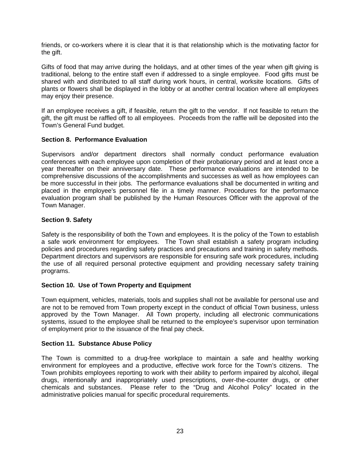friends, or co-workers where it is clear that it is that relationship which is the motivating factor for the gift.

Gifts of food that may arrive during the holidays, and at other times of the year when gift giving is traditional, belong to the entire staff even if addressed to a single employee. Food gifts must be shared with and distributed to all staff during work hours, in central, worksite locations. Gifts of plants or flowers shall be displayed in the lobby or at another central location where all employees may enjoy their presence.

If an employee receives a gift, if feasible, return the gift to the vendor. If not feasible to return the gift, the gift must be raffled off to all employees. Proceeds from the raffle will be deposited into the Town's General Fund budget.

#### **Section 8. Performance Evaluation**

Supervisors and/or department directors shall normally conduct performance evaluation conferences with each employee upon completion of their probationary period and at least once a year thereafter on their anniversary date. These performance evaluations are intended to be comprehensive discussions of the accomplishments and successes as well as how employees can be more successful in their jobs. The performance evaluations shall be documented in writing and placed in the employee's personnel file in a timely manner. Procedures for the performance evaluation program shall be published by the Human Resources Officer with the approval of the Town Manager.

#### **Section 9. Safety**

Safety is the responsibility of both the Town and employees. It is the policy of the Town to establish a safe work environment for employees. The Town shall establish a safety program including policies and procedures regarding safety practices and precautions and training in safety methods. Department directors and supervisors are responsible for ensuring safe work procedures, including the use of all required personal protective equipment and providing necessary safety training programs.

#### **Section 10. Use of Town Property and Equipment**

Town equipment, vehicles, materials, tools and supplies shall not be available for personal use and are not to be removed from Town property except in the conduct of official Town business, unless approved by the Town Manager. All Town property, including all electronic communications systems, issued to the employee shall be returned to the employee's supervisor upon termination of employment prior to the issuance of the final pay check.

#### **Section 11. Substance Abuse Policy**

The Town is committed to a drug-free workplace to maintain a safe and healthy working environment for employees and a productive, effective work force for the Town's citizens. The Town prohibits employees reporting to work with their ability to perform impaired by alcohol, illegal drugs, intentionally and inappropriately used prescriptions, over-the-counter drugs, or other chemicals and substances. Please refer to the "Drug and Alcohol Policy" located in the administrative policies manual for specific procedural requirements.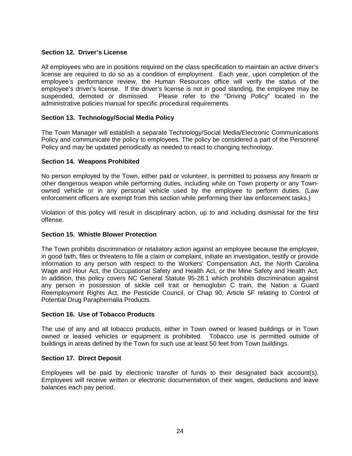#### **Section 12. Driver's License**

All employees who are in positions required on the class specification to maintain an active driver's license are required to do so as a condition of employment. Each year, upon completion of the employee's performance review, the Human Resources office will verify the status of the employee's driver's license. If the driver's license is not in good standing, the employee may be suspended, demoted or dismissed. Please refer to the "Driving Policy" located in the administrative policies manual for specific procedural requirements.

#### **Section 13. Technology/Social Media Policy**

The Town Manager will establish a separate Technology/Social Media/Electronic Communications Policy and communicate the policy to employees. The policy be considered a part of the Personnel Policy and may be updated periodically as needed to react to changing technology.

#### **Section 14. Weapons Prohibited**

No person employed by the Town, either paid or volunteer, is permitted to possess any firearm or other dangerous weapon while performing duties, including while on Town property or any Townowned vehicle or in any personal vehicle used by the employee to perform duties. (Law enforcement officers are exempt from this section while performing their law enforcement tasks.)

Violation of this policy will result in disciplinary action, up to and including dismissal for the first offense.

#### **Section 15. Whistle Blower Protection**

The Town prohibits discrimination or retaliatory action against an employee because the employee, in good faith, files or threatens to file a claim or complaint, initiate an investigation, testify or provide information to any person with respect to the Workers' Compensation Act, the North Carolina Wage and Hour Act, the Occupational Safety and Health Act, or the Mine Safety and Health Act. In addition, this policy covers NC General Statute 95-28.1 which prohibits discrimination against any person in possession of sickle cell trait or hemoglobin C train, the Nation a Guard Reemployment Rights Act, the Pesticide Council, or Chap 90, Article 5F relating to Control of Potential Drug Paraphernalia Products.

#### **Section 16. Use of Tobacco Products**

The use of any and all tobacco products, either in Town owned or leased buildings or in Town owned or leased vehicles or equipment is prohibited. Tobacco use is permitted outside of buildings in areas defined by the Town for such use at least 50 feet from Town buildings.

#### **Section 17. Direct Deposit**

Employees will be paid by electronic transfer of funds to their designated back account(s). Employees will receive written or electronic documentation of their wages, deductions and leave balances each pay period.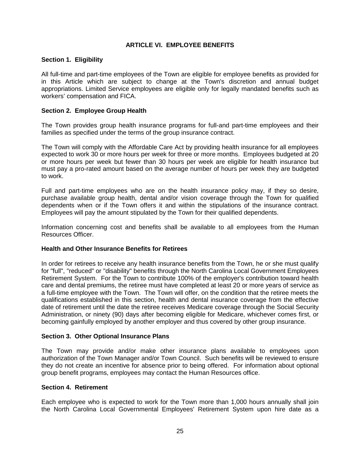#### **ARTICLE VI. EMPLOYEE BENEFITS**

#### **Section 1. Eligibility**

All full-time and part-time employees of the Town are eligible for employee benefits as provided for in this Article which are subject to change at the Town's discretion and annual budget appropriations. Limited Service employees are eligible only for legally mandated benefits such as workers' compensation and FICA.

#### **Section 2. Employee Group Health**

The Town provides group health insurance programs for full-and part-time employees and their families as specified under the terms of the group insurance contract.

The Town will comply with the Affordable Care Act by providing health insurance for all employees expected to work 30 or more hours per week for three or more months. Employees budgeted at 20 or more hours per week but fewer than 30 hours per week are eligible for health insurance but must pay a pro-rated amount based on the average number of hours per week they are budgeted to work.

Full and part-time employees who are on the health insurance policy may, if they so desire, purchase available group health, dental and/or vision coverage through the Town for qualified dependents when or if the Town offers it and within the stipulations of the insurance contract. Employees will pay the amount stipulated by the Town for their qualified dependents.

Information concerning cost and benefits shall be available to all employees from the Human Resources Officer.

#### **Health and Other Insurance Benefits for Retirees**

In order for retirees to receive any health insurance benefits from the Town, he or she must qualify for "full", "reduced" or "disability" benefits through the North Carolina Local Government Employees Retirement System. For the Town to contribute 100% of the employer's contribution toward health care and dental premiums, the retiree must have completed at least 20 or more years of service as a full-time employee with the Town. The Town will offer, on the condition that the retiree meets the qualifications established in this section, health and dental insurance coverage from the effective date of retirement until the date the retiree receives Medicare coverage through the Social Security Administration, or ninety (90) days after becoming eligible for Medicare, whichever comes first, or becoming gainfully employed by another employer and thus covered by other group insurance.

#### **Section 3. Other Optional Insurance Plans**

The Town may provide and/or make other insurance plans available to employees upon authorization of the Town Manager and/or Town Council. Such benefits will be reviewed to ensure they do not create an incentive for absence prior to being offered. For information about optional group benefit programs, employees may contact the Human Resources office.

#### **Section 4. Retirement**

Each employee who is expected to work for the Town more than 1,000 hours annually shall join the North Carolina Local Governmental Employees' Retirement System upon hire date as a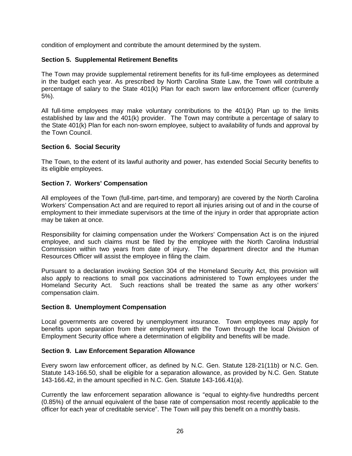condition of employment and contribute the amount determined by the system.

#### **Section 5. Supplemental Retirement Benefits**

The Town may provide supplemental retirement benefits for its full-time employees as determined in the budget each year. As prescribed by North Carolina State Law, the Town will contribute a percentage of salary to the State 401(k) Plan for each sworn law enforcement officer (currently 5%).

All full-time employees may make voluntary contributions to the 401(k) Plan up to the limits established by law and the 401(k) provider. The Town may contribute a percentage of salary to the State 401(k) Plan for each non-sworn employee, subject to availability of funds and approval by the Town Council.

#### **Section 6. Social Security**

The Town, to the extent of its lawful authority and power, has extended Social Security benefits to its eligible employees.

#### **Section 7. Workers' Compensation**

All employees of the Town (full-time, part-time, and temporary) are covered by the North Carolina Workers' Compensation Act and are required to report all injuries arising out of and in the course of employment to their immediate supervisors at the time of the injury in order that appropriate action may be taken at once.

Responsibility for claiming compensation under the Workers' Compensation Act is on the injured employee, and such claims must be filed by the employee with the North Carolina Industrial Commission within two years from date of injury. The department director and the Human Resources Officer will assist the employee in filing the claim.

Pursuant to a declaration invoking Section 304 of the Homeland Security Act, this provision will also apply to reactions to small pox vaccinations administered to Town employees under the Homeland Security Act. Such reactions shall be treated the same as any other workers' compensation claim.

#### **Section 8. Unemployment Compensation**

Local governments are covered by unemployment insurance. Town employees may apply for benefits upon separation from their employment with the Town through the local Division of Employment Security office where a determination of eligibility and benefits will be made.

#### **Section 9. Law Enforcement Separation Allowance**

Every sworn law enforcement officer, as defined by N.C. Gen. Statute 128-21(11b) or N.C. Gen. Statute 143-166.50, shall be eligible for a separation allowance, as provided by N.C. Gen. Statute 143-166.42, in the amount specified in N.C. Gen. Statute 143-166.41(a).

Currently the law enforcement separation allowance is "equal to eighty-five hundredths percent (0.85%) of the annual equivalent of the base rate of compensation most recently applicable to the officer for each year of creditable service". The Town will pay this benefit on a monthly basis.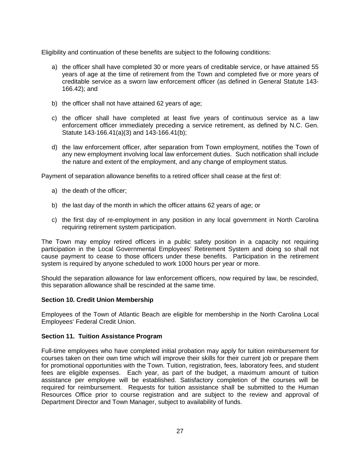Eligibility and continuation of these benefits are subject to the following conditions:

- a) the officer shall have completed 30 or more years of creditable service, or have attained 55 years of age at the time of retirement from the Town and completed five or more years of creditable service as a sworn law enforcement officer (as defined in General Statute 143- 166.42); and
- b) the officer shall not have attained 62 years of age;
- c) the officer shall have completed at least five years of continuous service as a law enforcement officer immediately preceding a service retirement, as defined by N.C. Gen. Statute 143-166.41(a)(3) and 143-166.41(b);
- d) the law enforcement officer, after separation from Town employment, notifies the Town of any new employment involving local law enforcement duties. Such notification shall include the nature and extent of the employment, and any change of employment status.

Payment of separation allowance benefits to a retired officer shall cease at the first of:

- a) the death of the officer;
- b) the last day of the month in which the officer attains 62 years of age; or
- c) the first day of re-employment in any position in any local government in North Carolina requiring retirement system participation.

The Town may employ retired officers in a public safety position in a capacity not requiring participation in the Local Governmental Employees' Retirement System and doing so shall not cause payment to cease to those officers under these benefits. Participation in the retirement system is required by anyone scheduled to work 1000 hours per year or more.

Should the separation allowance for law enforcement officers, now required by law, be rescinded, this separation allowance shall be rescinded at the same time.

#### **Section 10. Credit Union Membership**

Employees of the Town of Atlantic Beach are eligible for membership in the North Carolina Local Employees' Federal Credit Union.

#### **Section 11. Tuition Assistance Program**

Full-time employees who have completed initial probation may apply for tuition reimbursement for courses taken on their own time which will improve their skills for their current job or prepare them for promotional opportunities with the Town. Tuition, registration, fees, laboratory fees, and student fees are eligible expenses. Each year, as part of the budget, a maximum amount of tuition assistance per emplovee will be established. Satisfactory completion of the courses will be required for reimbursement. Requests for tuition assistance shall be submitted to the Human Resources Office prior to course registration and are subject to the review and approval of Department Director and Town Manager, subject to availability of funds.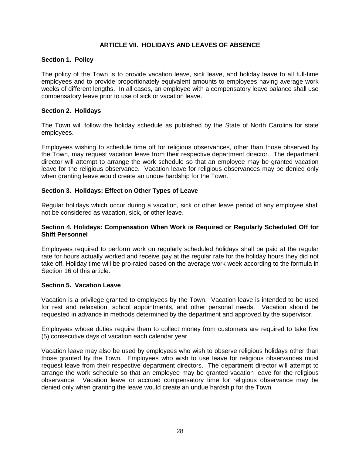#### **ARTICLE VII. HOLIDAYS AND LEAVES OF ABSENCE**

#### **Section 1. Policy**

The policy of the Town is to provide vacation leave, sick leave, and holiday leave to all full-time employees and to provide proportionately equivalent amounts to employees having average work weeks of different lengths. In all cases, an employee with a compensatory leave balance shall use compensatory leave prior to use of sick or vacation leave.

#### **Section 2. Holidays**

The Town will follow the holiday schedule as published by the State of North Carolina for state employees.

Employees wishing to schedule time off for religious observances, other than those observed by the Town, may request vacation leave from their respective department director. The department director will attempt to arrange the work schedule so that an employee may be granted vacation leave for the religious observance. Vacation leave for religious observances may be denied only when granting leave would create an undue hardship for the Town.

#### **Section 3. Holidays: Effect on Other Types of Leave**

Regular holidays which occur during a vacation, sick or other leave period of any employee shall not be considered as vacation, sick, or other leave.

#### **Section 4. Holidays: Compensation When Work is Required or Regularly Scheduled Off for Shift Personnel**

Employees required to perform work on regularly scheduled holidays shall be paid at the regular rate for hours actually worked and receive pay at the regular rate for the holiday hours they did not take off. Holiday time will be pro-rated based on the average work week according to the formula in Section 16 of this article.

#### **Section 5. Vacation Leave**

Vacation is a privilege granted to employees by the Town. Vacation leave is intended to be used for rest and relaxation, school appointments, and other personal needs. Vacation should be requested in advance in methods determined by the department and approved by the supervisor.

Employees whose duties require them to collect money from customers are required to take five (5) consecutive days of vacation each calendar year.

Vacation leave may also be used by employees who wish to observe religious holidays other than those granted by the Town. Employees who wish to use leave for religious observances must request leave from their respective department directors. The department director will attempt to arrange the work schedule so that an employee may be granted vacation leave for the religious observance. Vacation leave or accrued compensatory time for religious observance may be denied only when granting the leave would create an undue hardship for the Town.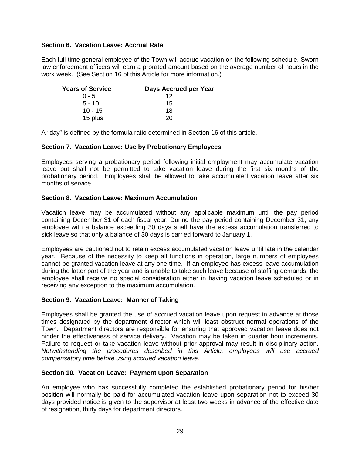#### **Section 6. Vacation Leave: Accrual Rate**

Each full-time general employee of the Town will accrue vacation on the following schedule. Sworn law enforcement officers will earn a prorated amount based on the average number of hours in the work week. (See Section 16 of this Article for more information.)

| <b>Years of Service</b> | Days Accrued per Year |
|-------------------------|-----------------------|
| $0 - 5$                 | 12                    |
| $5 - 10$                | 15                    |
| $10 - 15$               | 18                    |
| 15 plus                 | 20                    |

A "day" is defined by the formula ratio determined in Section 16 of this article.

#### **Section 7. Vacation Leave: Use by Probationary Employees**

Employees serving a probationary period following initial employment may accumulate vacation leave but shall not be permitted to take vacation leave during the first six months of the probationary period. Employees shall be allowed to take accumulated vacation leave after six months of service.

#### **Section 8. Vacation Leave: Maximum Accumulation**

Vacation leave may be accumulated without any applicable maximum until the pay period containing December 31 of each fiscal year. During the pay period containing December 31, any employee with a balance exceeding 30 days shall have the excess accumulation transferred to sick leave so that only a balance of 30 days is carried forward to January 1.

Employees are cautioned not to retain excess accumulated vacation leave until late in the calendar year. Because of the necessity to keep all functions in operation, large numbers of employees cannot be granted vacation leave at any one time. If an employee has excess leave accumulation during the latter part of the year and is unable to take such leave because of staffing demands, the employee shall receive no special consideration either in having vacation leave scheduled or in receiving any exception to the maximum accumulation.

#### **Section 9. Vacation Leave: Manner of Taking**

Employees shall be granted the use of accrued vacation leave upon request in advance at those times designated by the department director which will least obstruct normal operations of the Town. Department directors are responsible for ensuring that approved vacation leave does not hinder the effectiveness of service delivery. Vacation may be taken in quarter hour increments. Failure to request or take vacation leave without prior approval may result in disciplinary action. *Notwithstanding the procedures described in this Article, employees will use accrued compensatory time before using accrued vacation leave.*

#### **Section 10. Vacation Leave: Payment upon Separation**

An employee who has successfully completed the established probationary period for his/her position will normally be paid for accumulated vacation leave upon separation not to exceed 30 days provided notice is given to the supervisor at least two weeks in advance of the effective date of resignation, thirty days for department directors.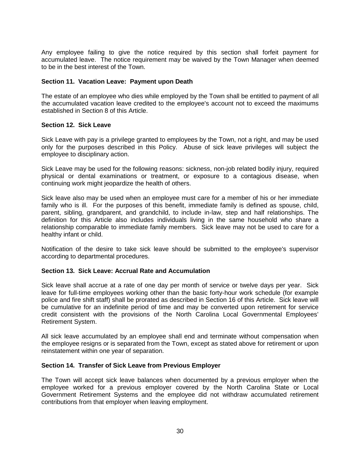Any employee failing to give the notice required by this section shall forfeit payment for accumulated leave. The notice requirement may be waived by the Town Manager when deemed to be in the best interest of the Town.

#### **Section 11. Vacation Leave: Payment upon Death**

The estate of an employee who dies while employed by the Town shall be entitled to payment of all the accumulated vacation leave credited to the employee's account not to exceed the maximums established in Section 8 of this Article.

#### **Section 12. Sick Leave**

Sick Leave with pay is a privilege granted to employees by the Town, not a right, and may be used only for the purposes described in this Policy. Abuse of sick leave privileges will subject the employee to disciplinary action.

Sick Leave may be used for the following reasons: sickness, non-job related bodily injury, required physical or dental examinations or treatment, or exposure to a contagious disease, when continuing work might jeopardize the health of others.

Sick leave also may be used when an employee must care for a member of his or her immediate family who is ill. For the purposes of this benefit, immediate family is defined as spouse, child, parent, sibling, grandparent, and grandchild, to include in-law, step and half relationships. The definition for this Article also includes individuals living in the same household who share a relationship comparable to immediate family members. Sick leave may not be used to care for a healthy infant or child.

Notification of the desire to take sick leave should be submitted to the employee's supervisor according to departmental procedures.

#### **Section 13. Sick Leave: Accrual Rate and Accumulation**

Sick leave shall accrue at a rate of one day per month of service or twelve days per year. Sick leave for full-time employees working other than the basic forty-hour work schedule (for example police and fire shift staff) shall be prorated as described in Section 16 of this Article. Sick leave will be cumulative for an indefinite period of time and may be converted upon retirement for service credit consistent with the provisions of the North Carolina Local Governmental Employees' Retirement System.

All sick leave accumulated by an employee shall end and terminate without compensation when the employee resigns or is separated from the Town, except as stated above for retirement or upon reinstatement within one year of separation.

#### **Section 14. Transfer of Sick Leave from Previous Employer**

The Town will accept sick leave balances when documented by a previous employer when the employee worked for a previous employer covered by the North Carolina State or Local Government Retirement Systems and the employee did not withdraw accumulated retirement contributions from that employer when leaving employment.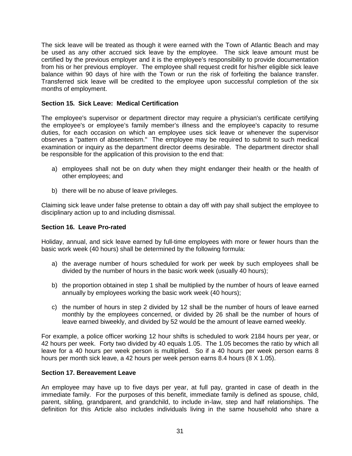The sick leave will be treated as though it were earned with the Town of Atlantic Beach and may be used as any other accrued sick leave by the employee. The sick leave amount must be certified by the previous employer and it is the employee's responsibility to provide documentation from his or her previous employer. The employee shall request credit for his/her eligible sick leave balance within 90 days of hire with the Town or run the risk of forfeiting the balance transfer. Transferred sick leave will be credited to the employee upon successful completion of the six months of employment.

#### **Section 15. Sick Leave: Medical Certification**

The employee's supervisor or department director may require a physician's certificate certifying the employee's or employee's family member's illness and the employee's capacity to resume duties, for each occasion on which an employee uses sick leave or whenever the supervisor observes a "pattern of absenteeism." The employee may be required to submit to such medical examination or inquiry as the department director deems desirable. The department director shall be responsible for the application of this provision to the end that:

- a) employees shall not be on duty when they might endanger their health or the health of other employees; and
- b) there will be no abuse of leave privileges.

Claiming sick leave under false pretense to obtain a day off with pay shall subject the employee to disciplinary action up to and including dismissal.

#### **Section 16. Leave Pro-rated**

Holiday, annual, and sick leave earned by full-time employees with more or fewer hours than the basic work week (40 hours) shall be determined by the following formula:

- a) the average number of hours scheduled for work per week by such employees shall be divided by the number of hours in the basic work week (usually 40 hours);
- b) the proportion obtained in step 1 shall be multiplied by the number of hours of leave earned annually by employees working the basic work week (40 hours);
- c) the number of hours in step 2 divided by 12 shall be the number of hours of leave earned monthly by the employees concerned, or divided by 26 shall be the number of hours of leave earned biweekly, and divided by 52 would be the amount of leave earned weekly.

For example, a police officer working 12 hour shifts is scheduled to work 2184 hours per year, or 42 hours per week. Forty two divided by 40 equals 1.05. The 1.05 becomes the ratio by which all leave for a 40 hours per week person is multiplied. So if a 40 hours per week person earns 8 hours per month sick leave, a 42 hours per week person earns 8.4 hours (8 X 1.05).

#### **Section 17. Bereavement Leave**

An employee may have up to five days per year, at full pay, granted in case of death in the immediate family. For the purposes of this benefit, immediate family is defined as spouse, child, parent, sibling, grandparent, and grandchild, to include in-law, step and half relationships. The definition for this Article also includes individuals living in the same household who share a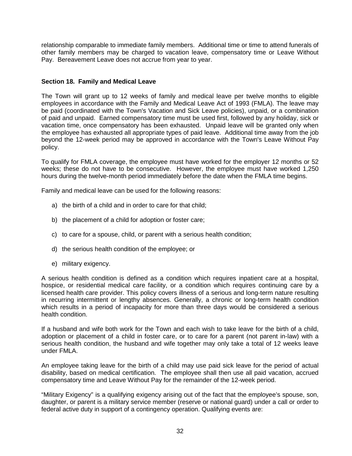relationship comparable to immediate family members. Additional time or time to attend funerals of other family members may be charged to vacation leave, compensatory time or Leave Without Pay. Bereavement Leave does not accrue from year to year.

#### **Section 18. Family and Medical Leave**

The Town will grant up to 12 weeks of family and medical leave per twelve months to eligible employees in accordance with the Family and Medical Leave Act of 1993 (FMLA). The leave may be paid (coordinated with the Town's Vacation and Sick Leave policies), unpaid, or a combination of paid and unpaid. Earned compensatory time must be used first, followed by any holiday, sick or vacation time, once compensatory has been exhausted. Unpaid leave will be granted only when the employee has exhausted all appropriate types of paid leave. Additional time away from the job beyond the 12-week period may be approved in accordance with the Town's Leave Without Pay policy.

To qualify for FMLA coverage, the employee must have worked for the employer 12 months or 52 weeks; these do not have to be consecutive. However, the employee must have worked 1,250 hours during the twelve-month period immediately before the date when the FMLA time begins.

Family and medical leave can be used for the following reasons:

- a) the birth of a child and in order to care for that child;
- b) the placement of a child for adoption or foster care;
- c) to care for a spouse, child, or parent with a serious health condition;
- d) the serious health condition of the employee; or
- e) military exigency.

A serious health condition is defined as a condition which requires inpatient care at a hospital, hospice, or residential medical care facility, or a condition which requires continuing care by a licensed health care provider. This policy covers illness of a serious and long-term nature resulting in recurring intermittent or lengthy absences. Generally, a chronic or long-term health condition which results in a period of incapacity for more than three days would be considered a serious health condition.

If a husband and wife both work for the Town and each wish to take leave for the birth of a child, adoption or placement of a child in foster care, or to care for a parent (not parent in-law) with a serious health condition, the husband and wife together may only take a total of 12 weeks leave under FMLA.

An employee taking leave for the birth of a child may use paid sick leave for the period of actual disability, based on medical certification. The employee shall then use all paid vacation, accrued compensatory time and Leave Without Pay for the remainder of the 12-week period.

"Military Exigency" is a qualifying exigency arising out of the fact that the employee's spouse, son, daughter, or parent is a military service member (reserve or national guard) under a call or order to federal active duty in support of a contingency operation. Qualifying events are: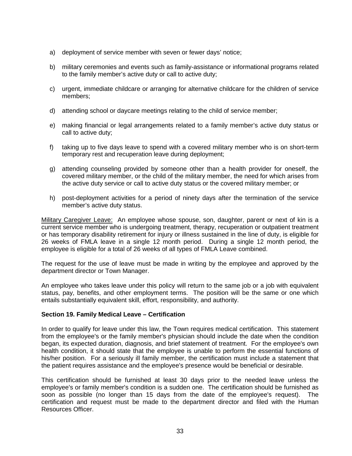- a) deployment of service member with seven or fewer days' notice;
- b) military ceremonies and events such as family-assistance or informational programs related to the family member's active duty or call to active duty;
- c) urgent, immediate childcare or arranging for alternative childcare for the children of service members;
- d) attending school or daycare meetings relating to the child of service member;
- e) making financial or legal arrangements related to a family member's active duty status or call to active duty;
- f) taking up to five days leave to spend with a covered military member who is on short-term temporary rest and recuperation leave during deployment;
- g) attending counseling provided by someone other than a health provider for oneself, the covered military member, or the child of the military member, the need for which arises from the active duty service or call to active duty status or the covered military member; or
- h) post-deployment activities for a period of ninety days after the termination of the service member's active duty status.

Military Caregiver Leave: An employee whose spouse, son, daughter, parent or next of kin is a current service member who is undergoing treatment, therapy, recuperation or outpatient treatment or has temporary disability retirement for injury or illness sustained in the line of duty, is eligible for 26 weeks of FMLA leave in a single 12 month period. During a single 12 month period, the employee is eligible for a total of 26 weeks of all types of FMLA Leave combined.

The request for the use of leave must be made in writing by the employee and approved by the department director or Town Manager.

An employee who takes leave under this policy will return to the same job or a job with equivalent status, pay, benefits, and other employment terms. The position will be the same or one which entails substantially equivalent skill, effort, responsibility, and authority.

#### **Section 19. Family Medical Leave – Certification**

In order to qualify for leave under this law, the Town requires medical certification. This statement from the employee's or the family member's physician should include the date when the condition began, its expected duration, diagnosis, and brief statement of treatment. For the employee's own health condition, it should state that the employee is unable to perform the essential functions of his/her position. For a seriously ill family member, the certification must include a statement that the patient requires assistance and the employee's presence would be beneficial or desirable.

This certification should be furnished at least 30 days prior to the needed leave unless the employee's or family member's condition is a sudden one. The certification should be furnished as soon as possible (no longer than 15 days from the date of the employee's request). The certification and request must be made to the department director and filed with the Human Resources Officer.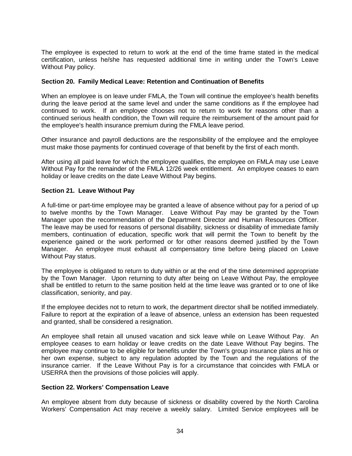The employee is expected to return to work at the end of the time frame stated in the medical certification, unless he/she has requested additional time in writing under the Town's Leave Without Pay policy.

#### **Section 20. Family Medical Leave: Retention and Continuation of Benefits**

When an employee is on leave under FMLA, the Town will continue the employee's health benefits during the leave period at the same level and under the same conditions as if the employee had continued to work. If an employee chooses not to return to work for reasons other than a continued serious health condition, the Town will require the reimbursement of the amount paid for the employee's health insurance premium during the FMLA leave period.

Other insurance and payroll deductions are the responsibility of the employee and the employee must make those payments for continued coverage of that benefit by the first of each month.

After using all paid leave for which the employee qualifies, the employee on FMLA may use Leave Without Pay for the remainder of the FMLA 12/26 week entitlement. An employee ceases to earn holiday or leave credits on the date Leave Without Pay begins.

#### **Section 21. Leave Without Pay**

A full-time or part-time employee may be granted a leave of absence without pay for a period of up to twelve months by the Town Manager. Leave Without Pay may be granted by the Town Manager upon the recommendation of the Department Director and Human Resources Officer. The leave may be used for reasons of personal disability, sickness or disability of immediate family members, continuation of education, specific work that will permit the Town to benefit by the experience gained or the work performed or for other reasons deemed justified by the Town Manager. An employee must exhaust all compensatory time before being placed on Leave Without Pay status.

The employee is obligated to return to duty within or at the end of the time determined appropriate by the Town Manager. Upon returning to duty after being on Leave Without Pay, the employee shall be entitled to return to the same position held at the time leave was granted or to one of like classification, seniority, and pay.

If the employee decides not to return to work, the department director shall be notified immediately. Failure to report at the expiration of a leave of absence, unless an extension has been requested and granted, shall be considered a resignation.

An employee shall retain all unused vacation and sick leave while on Leave Without Pay. An employee ceases to earn holiday or leave credits on the date Leave Without Pay begins. The employee may continue to be eligible for benefits under the Town's group insurance plans at his or her own expense, subject to any regulation adopted by the Town and the regulations of the insurance carrier. If the Leave Without Pay is for a circumstance that coincides with FMLA or USERRA then the provisions of those policies will apply.

#### **Section 22. Workers' Compensation Leave**

An employee absent from duty because of sickness or disability covered by the North Carolina Workers' Compensation Act may receive a weekly salary. Limited Service employees will be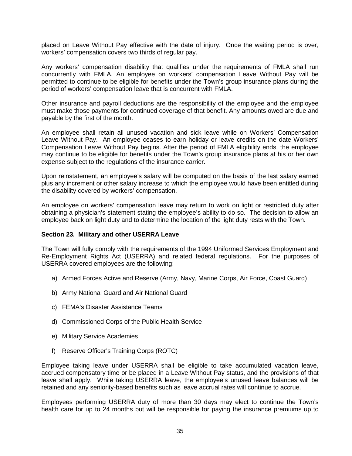placed on Leave Without Pay effective with the date of injury. Once the waiting period is over, workers' compensation covers two thirds of regular pay.

Any workers' compensation disability that qualifies under the requirements of FMLA shall run concurrently with FMLA. An employee on workers' compensation Leave Without Pay will be permitted to continue to be eligible for benefits under the Town's group insurance plans during the period of workers' compensation leave that is concurrent with FMLA.

Other insurance and payroll deductions are the responsibility of the employee and the employee must make those payments for continued coverage of that benefit. Any amounts owed are due and payable by the first of the month.

An employee shall retain all unused vacation and sick leave while on Workers' Compensation Leave Without Pay. An employee ceases to earn holiday or leave credits on the date Workers' Compensation Leave Without Pay begins. After the period of FMLA eligibility ends, the employee may continue to be eligible for benefits under the Town's group insurance plans at his or her own expense subject to the regulations of the insurance carrier.

Upon reinstatement, an employee's salary will be computed on the basis of the last salary earned plus any increment or other salary increase to which the employee would have been entitled during the disability covered by workers' compensation.

An employee on workers' compensation leave may return to work on light or restricted duty after obtaining a physician's statement stating the employee's ability to do so. The decision to allow an employee back on light duty and to determine the location of the light duty rests with the Town.

#### **Section 23. Military and other USERRA Leave**

The Town will fully comply with the requirements of the 1994 Uniformed Services Employment and Re-Employment Rights Act (USERRA) and related federal regulations. For the purposes of USERRA covered employees are the following:

- a) Armed Forces Active and Reserve (Army, Navy, Marine Corps, Air Force, Coast Guard)
- b) Army National Guard and Air National Guard
- c) FEMA's Disaster Assistance Teams
- d) Commissioned Corps of the Public Health Service
- e) Military Service Academies
- f) Reserve Officer's Training Corps (ROTC)

Employee taking leave under USERRA shall be eligible to take accumulated vacation leave, accrued compensatory time or be placed in a Leave Without Pay status, and the provisions of that leave shall apply. While taking USERRA leave, the employee's unused leave balances will be retained and any seniority-based benefits such as leave accrual rates will continue to accrue.

Employees performing USERRA duty of more than 30 days may elect to continue the Town's health care for up to 24 months but will be responsible for paying the insurance premiums up to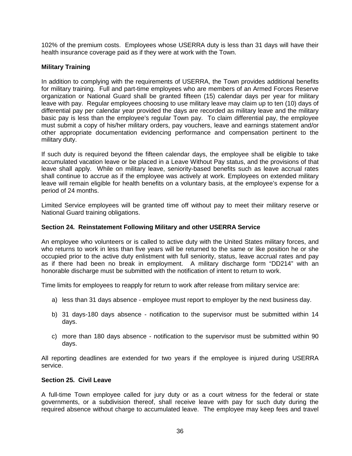102% of the premium costs. Employees whose USERRA duty is less than 31 days will have their health insurance coverage paid as if they were at work with the Town.

### **Military Training**

In addition to complying with the requirements of USERRA, the Town provides additional benefits for military training. Full and part-time employees who are members of an Armed Forces Reserve organization or National Guard shall be granted fifteen (15) calendar days per year for military leave with pay. Regular employees choosing to use military leave may claim up to ten (10) days of differential pay per calendar year provided the days are recorded as military leave and the military basic pay is less than the employee's regular Town pay. To claim differential pay, the employee must submit a copy of his/her military orders, pay vouchers, leave and earnings statement and/or other appropriate documentation evidencing performance and compensation pertinent to the military duty.

If such duty is required beyond the fifteen calendar days, the employee shall be eligible to take accumulated vacation leave or be placed in a Leave Without Pay status, and the provisions of that leave shall apply. While on military leave, seniority-based benefits such as leave accrual rates shall continue to accrue as if the employee was actively at work. Employees on extended military leave will remain eligible for health benefits on a voluntary basis, at the employee's expense for a period of 24 months.

Limited Service employees will be granted time off without pay to meet their military reserve or National Guard training obligations.

#### **Section 24. Reinstatement Following Military and other USERRA Service**

An employee who volunteers or is called to active duty with the United States military forces, and who returns to work in less than five years will be returned to the same or like position he or she occupied prior to the active duty enlistment with full seniority, status, leave accrual rates and pay as if there had been no break in employment. A military discharge form "DD214" with an honorable discharge must be submitted with the notification of intent to return to work.

Time limits for employees to reapply for return to work after release from military service are:

- a) less than 31 days absence employee must report to employer by the next business day.
- b) 31 days-180 days absence notification to the supervisor must be submitted within 14 days.
- c) more than 180 days absence notification to the supervisor must be submitted within 90 days.

All reporting deadlines are extended for two years if the employee is injured during USERRA service.

#### **Section 25. Civil Leave**

A full-time Town employee called for jury duty or as a court witness for the federal or state governments, or a subdivision thereof, shall receive leave with pay for such duty during the required absence without charge to accumulated leave. The employee may keep fees and travel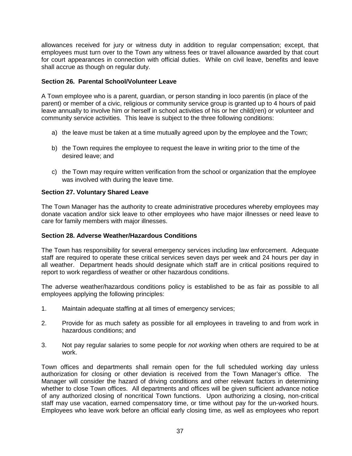allowances received for jury or witness duty in addition to regular compensation; except, that employees must turn over to the Town any witness fees or travel allowance awarded by that court for court appearances in connection with official duties. While on civil leave, benefits and leave shall accrue as though on regular duty.

#### **Section 26. Parental School/Volunteer Leave**

A Town employee who is a parent, guardian, or person standing in loco parentis (in place of the parent) or member of a civic, religious or community service group is granted up to 4 hours of paid leave annually to involve him or herself in school activities of his or her child(ren) or volunteer and community service activities. This leave is subject to the three following conditions:

- a) the leave must be taken at a time mutually agreed upon by the employee and the Town;
- b) the Town requires the employee to request the leave in writing prior to the time of the desired leave; and
- c) the Town may require written verification from the school or organization that the employee was involved with during the leave time.

#### **Section 27. Voluntary Shared Leave**

The Town Manager has the authority to create administrative procedures whereby employees may donate vacation and/or sick leave to other employees who have major illnesses or need leave to care for family members with major illnesses.

#### **Section 28. Adverse Weather/Hazardous Conditions**

The Town has responsibility for several emergency services including law enforcement. Adequate staff are required to operate these critical services seven days per week and 24 hours per day in all weather. Department heads should designate which staff are in critical positions required to report to work regardless of weather or other hazardous conditions.

The adverse weather/hazardous conditions policy is established to be as fair as possible to all employees applying the following principles:

- 1. Maintain adequate staffing at all times of emergency services;
- 2. Provide for as much safety as possible for all employees in traveling to and from work in hazardous conditions; and
- 3. Not pay regular salaries to some people for *not working* when others are required to be at work.

Town offices and departments shall remain open for the full scheduled working day unless authorization for closing or other deviation is received from the Town Manager's office. The Manager will consider the hazard of driving conditions and other relevant factors in determining whether to close Town offices. All departments and offices will be given sufficient advance notice of any authorized closing of noncritical Town functions. Upon authorizing a closing, non-critical staff may use vacation, earned compensatory time, or time without pay for the un-worked hours. Employees who leave work before an official early closing time, as well as employees who report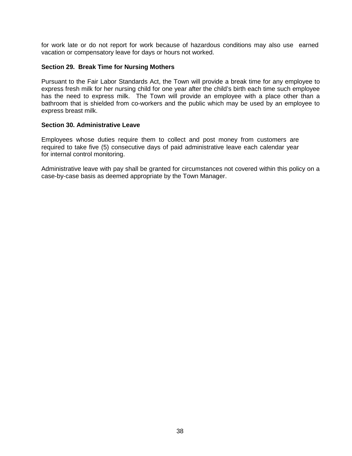for work late or do not report for work because of hazardous conditions may also use earned vacation or compensatory leave for days or hours not worked.

#### **Section 29. Break Time for Nursing Mothers**

Pursuant to the Fair Labor Standards Act, the Town will provide a break time for any employee to express fresh milk for her nursing child for one year after the child's birth each time such employee has the need to express milk. The Town will provide an employee with a place other than a bathroom that is shielded from co-workers and the public which may be used by an employee to express breast milk.

#### **Section 30. Administrative Leave**

Employees whose duties require them to collect and post money from customers are required to take five (5) consecutive days of paid administrative leave each calendar year for internal control monitoring.

Administrative leave with pay shall be granted for circumstances not covered within this policy on a case-by-case basis as deemed appropriate by the Town Manager.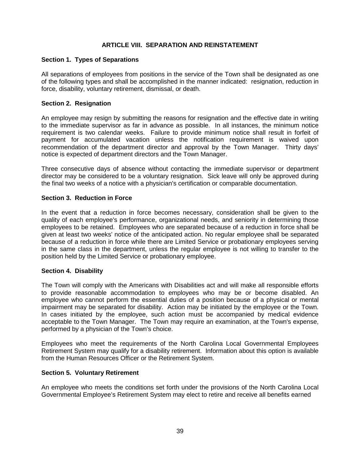#### **ARTICLE VIII. SEPARATION AND REINSTATEMENT**

#### **Section 1. Types of Separations**

All separations of employees from positions in the service of the Town shall be designated as one of the following types and shall be accomplished in the manner indicated: resignation, reduction in force, disability, voluntary retirement, dismissal, or death.

#### **Section 2. Resignation**

An employee may resign by submitting the reasons for resignation and the effective date in writing to the immediate supervisor as far in advance as possible. In all instances, the minimum notice requirement is two calendar weeks. Failure to provide minimum notice shall result in forfeit of payment for accumulated vacation unless the notification requirement is waived upon recommendation of the department director and approval by the Town Manager. Thirty days' notice is expected of department directors and the Town Manager.

Three consecutive days of absence without contacting the immediate supervisor or department director may be considered to be a voluntary resignation. Sick leave will only be approved during the final two weeks of a notice with a physician's certification or comparable documentation.

#### **Section 3. Reduction in Force**

In the event that a reduction in force becomes necessary, consideration shall be given to the quality of each employee's performance, organizational needs, and seniority in determining those employees to be retained. Employees who are separated because of a reduction in force shall be given at least two weeks' notice of the anticipated action. No regular employee shall be separated because of a reduction in force while there are Limited Service or probationary employees serving in the same class in the department, unless the regular employee is not willing to transfer to the position held by the Limited Service or probationary employee.

#### **Section 4. Disability**

The Town will comply with the Americans with Disabilities act and will make all responsible efforts to provide reasonable accommodation to employees who may be or become disabled. An employee who cannot perform the essential duties of a position because of a physical or mental impairment may be separated for disability. Action may be initiated by the employee or the Town. In cases initiated by the employee, such action must be accompanied by medical evidence acceptable to the Town Manager. The Town may require an examination, at the Town's expense, performed by a physician of the Town's choice.

Employees who meet the requirements of the North Carolina Local Governmental Employees Retirement System may qualify for a disability retirement. Information about this option is available from the Human Resources Officer or the Retirement System.

#### **Section 5. Voluntary Retirement**

An employee who meets the conditions set forth under the provisions of the North Carolina Local Governmental Employee's Retirement System may elect to retire and receive all benefits earned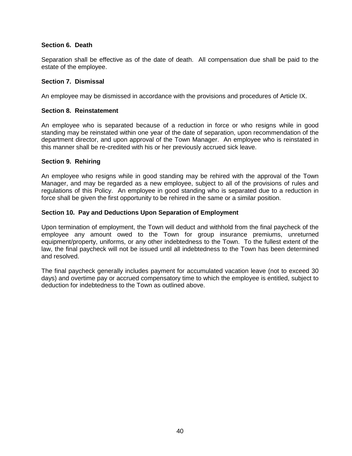#### **Section 6. Death**

Separation shall be effective as of the date of death. All compensation due shall be paid to the estate of the employee.

#### **Section 7. Dismissal**

An employee may be dismissed in accordance with the provisions and procedures of Article IX.

#### **Section 8. Reinstatement**

An employee who is separated because of a reduction in force or who resigns while in good standing may be reinstated within one year of the date of separation, upon recommendation of the department director, and upon approval of the Town Manager. An employee who is reinstated in this manner shall be re-credited with his or her previously accrued sick leave.

#### **Section 9. Rehiring**

An employee who resigns while in good standing may be rehired with the approval of the Town Manager, and may be regarded as a new employee, subject to all of the provisions of rules and regulations of this Policy. An employee in good standing who is separated due to a reduction in force shall be given the first opportunity to be rehired in the same or a similar position.

#### **Section 10. Pay and Deductions Upon Separation of Employment**

Upon termination of employment, the Town will deduct and withhold from the final paycheck of the employee any amount owed to the Town for group insurance premiums, unreturned equipment/property, uniforms, or any other indebtedness to the Town. To the fullest extent of the law, the final paycheck will not be issued until all indebtedness to the Town has been determined and resolved.

The final paycheck generally includes payment for accumulated vacation leave (not to exceed 30 days) and overtime pay or accrued compensatory time to which the employee is entitled, subject to deduction for indebtedness to the Town as outlined above.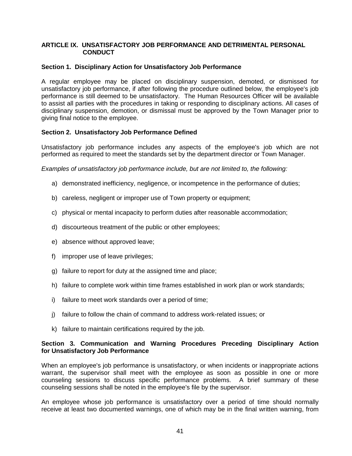#### **ARTICLE IX. UNSATISFACTORY JOB PERFORMANCE AND DETRIMENTAL PERSONAL CONDUCT**

#### **Section 1. Disciplinary Action for Unsatisfactory Job Performance**

A regular employee may be placed on disciplinary suspension, demoted, or dismissed for unsatisfactory job performance, if after following the procedure outlined below, the employee's job performance is still deemed to be unsatisfactory. The Human Resources Officer will be available to assist all parties with the procedures in taking or responding to disciplinary actions. All cases of disciplinary suspension, demotion, or dismissal must be approved by the Town Manager prior to giving final notice to the employee.

#### **Section 2. Unsatisfactory Job Performance Defined**

Unsatisfactory job performance includes any aspects of the employee's job which are not performed as required to meet the standards set by the department director or Town Manager.

*Examples of unsatisfactory job performance include, but are not limited to, the following:*

- a) demonstrated inefficiency, negligence, or incompetence in the performance of duties;
- b) careless, negligent or improper use of Town property or equipment;
- c) physical or mental incapacity to perform duties after reasonable accommodation;
- d) discourteous treatment of the public or other employees;
- e) absence without approved leave;
- f) improper use of leave privileges;
- g) failure to report for duty at the assigned time and place;
- h) failure to complete work within time frames established in work plan or work standards;
- i) failure to meet work standards over a period of time;
- j) failure to follow the chain of command to address work-related issues; or
- k) failure to maintain certifications required by the job.

#### **Section 3. Communication and Warning Procedures Preceding Disciplinary Action for Unsatisfactory Job Performance**

When an employee's job performance is unsatisfactory, or when incidents or inappropriate actions warrant, the supervisor shall meet with the employee as soon as possible in one or more counseling sessions to discuss specific performance problems. A brief summary of these counseling sessions shall be noted in the employee's file by the supervisor.

An employee whose job performance is unsatisfactory over a period of time should normally receive at least two documented warnings, one of which may be in the final written warning, from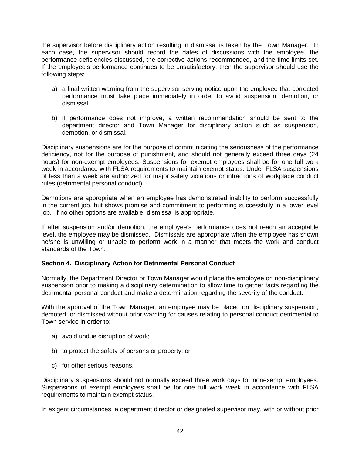the supervisor before disciplinary action resulting in dismissal is taken by the Town Manager. In each case, the supervisor should record the dates of discussions with the employee, the performance deficiencies discussed, the corrective actions recommended, and the time limits set. If the employee's performance continues to be unsatisfactory, then the supervisor should use the following steps:

- a) a final written warning from the supervisor serving notice upon the employee that corrected performance must take place immediately in order to avoid suspension, demotion, or dismissal.
- b) if performance does not improve, a written recommendation should be sent to the department director and Town Manager for disciplinary action such as suspension, demotion, or dismissal.

Disciplinary suspensions are for the purpose of communicating the seriousness of the performance deficiency, not for the purpose of punishment, and should not generally exceed three days (24 hours) for non-exempt employees. Suspensions for exempt employees shall be for one full work week in accordance with FLSA requirements to maintain exempt status. Under FLSA suspensions of less than a week are authorized for major safety violations or infractions of workplace conduct rules (detrimental personal conduct).

Demotions are appropriate when an employee has demonstrated inability to perform successfully in the current job, but shows promise and commitment to performing successfully in a lower level job. If no other options are available, dismissal is appropriate.

If after suspension and/or demotion, the employee's performance does not reach an acceptable level, the employee may be dismissed. Dismissals are appropriate when the employee has shown he/she is unwilling or unable to perform work in a manner that meets the work and conduct standards of the Town.

#### **Section 4. Disciplinary Action for Detrimental Personal Conduct**

Normally, the Department Director or Town Manager would place the employee on non-disciplinary suspension prior to making a disciplinary determination to allow time to gather facts regarding the detrimental personal conduct and make a determination regarding the severity of the conduct.

With the approval of the Town Manager, an employee may be placed on disciplinary suspension, demoted, or dismissed without prior warning for causes relating to personal conduct detrimental to Town service in order to:

- a) avoid undue disruption of work;
- b) to protect the safety of persons or property; or
- c) for other serious reasons.

Disciplinary suspensions should not normally exceed three work days for nonexempt employees. Suspensions of exempt employees shall be for one full work week in accordance with FLSA requirements to maintain exempt status.

In exigent circumstances, a department director or designated supervisor may, with or without prior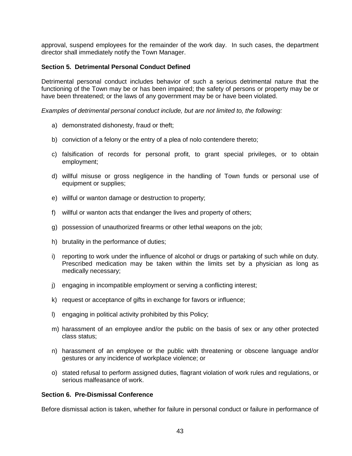approval, suspend employees for the remainder of the work day. In such cases, the department director shall immediately notify the Town Manager.

#### **Section 5. Detrimental Personal Conduct Defined**

Detrimental personal conduct includes behavior of such a serious detrimental nature that the functioning of the Town may be or has been impaired; the safety of persons or property may be or have been threatened; or the laws of any government may be or have been violated.

*Examples of detrimental personal conduct include, but are not limited to, the following:*

- a) demonstrated dishonesty, fraud or theft;
- b) conviction of a felony or the entry of a plea of nolo contendere thereto;
- c) falsification of records for personal profit, to grant special privileges, or to obtain employment;
- d) willful misuse or gross negligence in the handling of Town funds or personal use of equipment or supplies;
- e) willful or wanton damage or destruction to property;
- f) willful or wanton acts that endanger the lives and property of others;
- g) possession of unauthorized firearms or other lethal weapons on the job;
- h) brutality in the performance of duties;
- i) reporting to work under the influence of alcohol or drugs or partaking of such while on duty. Prescribed medication may be taken within the limits set by a physician as long as medically necessary;
- j) engaging in incompatible employment or serving a conflicting interest;
- k) request or acceptance of gifts in exchange for favors or influence;
- l) engaging in political activity prohibited by this Policy;
- m) harassment of an employee and/or the public on the basis of sex or any other protected class status;
- n) harassment of an employee or the public with threatening or obscene language and/or gestures or any incidence of workplace violence; or
- o) stated refusal to perform assigned duties, flagrant violation of work rules and regulations, or serious malfeasance of work.

#### **Section 6. Pre-Dismissal Conference**

Before dismissal action is taken, whether for failure in personal conduct or failure in performance of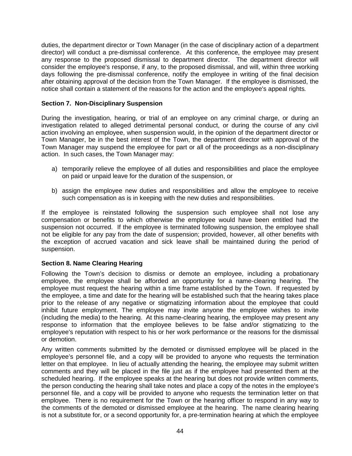duties, the department director or Town Manager (in the case of disciplinary action of a department director) will conduct a pre-dismissal conference. At this conference, the employee may present any response to the proposed dismissal to department director. The department director will consider the employee's response, if any, to the proposed dismissal, and will, within three working days following the pre-dismissal conference, notify the employee in writing of the final decision after obtaining approval of the decision from the Town Manager. If the employee is dismissed, the notice shall contain a statement of the reasons for the action and the employee's appeal rights*.*

#### **Section 7. Non-Disciplinary Suspension**

During the investigation, hearing, or trial of an employee on any criminal charge, or during an investigation related to alleged detrimental personal conduct, or during the course of any civil action involving an employee, when suspension would, in the opinion of the department director or Town Manager, be in the best interest of the Town, the department director with approval of the Town Manager may suspend the employee for part or all of the proceedings as a non-disciplinary action. In such cases, the Town Manager may:

- a) temporarily relieve the employee of all duties and responsibilities and place the employee on paid or unpaid leave for the duration of the suspension, or
- b) assign the employee new duties and responsibilities and allow the employee to receive such compensation as is in keeping with the new duties and responsibilities.

If the employee is reinstated following the suspension such employee shall not lose any compensation or benefits to which otherwise the employee would have been entitled had the suspension not occurred. If the employee is terminated following suspension, the employee shall not be eligible for any pay from the date of suspension; provided, however, all other benefits with the exception of accrued vacation and sick leave shall be maintained during the period of suspension.

#### **Section 8. Name Clearing Hearing**

Following the Town's decision to dismiss or demote an employee, including a probationary employee, the employee shall be afforded an opportunity for a name-clearing hearing. The employee must request the hearing within a time frame established by the Town. If requested by the employee, a time and date for the hearing will be established such that the hearing takes place prior to the release of any negative or stigmatizing information about the employee that could inhibit future employment. The employee may invite anyone the employee wishes to invite (including the media) to the hearing. At this name-clearing hearing, the employee may present any response to information that the employee believes to be false and/or stigmatizing to the employee's reputation with respect to his or her work performance or the reasons for the dismissal or demotion.

Any written comments submitted by the demoted or dismissed employee will be placed in the employee's personnel file, and a copy will be provided to anyone who requests the termination letter on that employee. In lieu of actually attending the hearing, the employee may submit written comments and they will be placed in the file just as if the employee had presented them at the scheduled hearing. If the employee speaks at the hearing but does not provide written comments, the person conducting the hearing shall take notes and place a copy of the notes in the employee's personnel file, and a copy will be provided to anyone who requests the termination letter on that employee. There is no requirement for the Town or the hearing officer to respond in any way to the comments of the demoted or dismissed employee at the hearing. The name clearing hearing is not a substitute for, or a second opportunity for, a pre-termination hearing at which the employee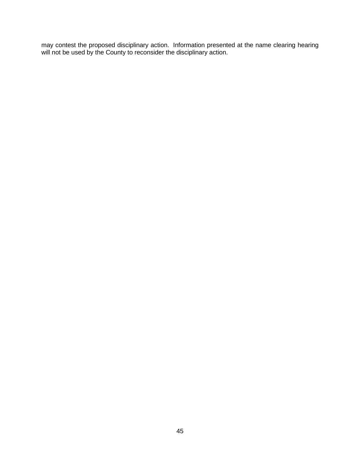may contest the proposed disciplinary action. Information presented at the name clearing hearing will not be used by the County to reconsider the disciplinary action.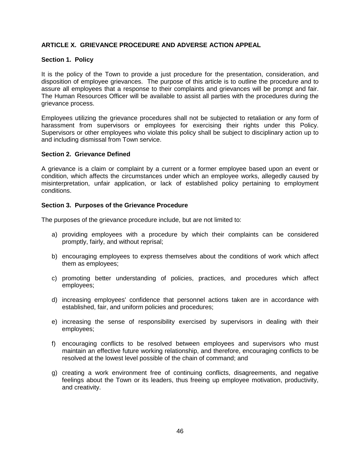### **ARTICLE X. GRIEVANCE PROCEDURE AND ADVERSE ACTION APPEAL**

#### **Section 1. Policy**

It is the policy of the Town to provide a just procedure for the presentation, consideration, and disposition of employee grievances. The purpose of this article is to outline the procedure and to assure all employees that a response to their complaints and grievances will be prompt and fair. The Human Resources Officer will be available to assist all parties with the procedures during the grievance process.

Employees utilizing the grievance procedures shall not be subjected to retaliation or any form of harassment from supervisors or employees for exercising their rights under this Policy. Supervisors or other employees who violate this policy shall be subject to disciplinary action up to and including dismissal from Town service.

#### **Section 2. Grievance Defined**

A grievance is a claim or complaint by a current or a former employee based upon an event or condition, which affects the circumstances under which an employee works, allegedly caused by misinterpretation, unfair application, or lack of established policy pertaining to employment conditions.

#### **Section 3. Purposes of the Grievance Procedure**

The purposes of the grievance procedure include, but are not limited to:

- a) providing employees with a procedure by which their complaints can be considered promptly, fairly, and without reprisal;
- b) encouraging employees to express themselves about the conditions of work which affect them as employees;
- c) promoting better understanding of policies, practices, and procedures which affect employees;
- d) increasing employees' confidence that personnel actions taken are in accordance with established, fair, and uniform policies and procedures;
- e) increasing the sense of responsibility exercised by supervisors in dealing with their employees;
- f) encouraging conflicts to be resolved between employees and supervisors who must maintain an effective future working relationship, and therefore, encouraging conflicts to be resolved at the lowest level possible of the chain of command; and
- g) creating a work environment free of continuing conflicts, disagreements, and negative feelings about the Town or its leaders, thus freeing up employee motivation, productivity, and creativity.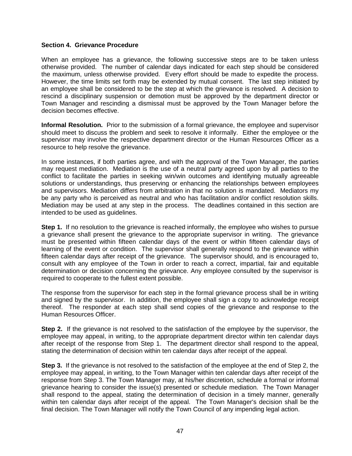#### **Section 4. Grievance Procedure**

When an employee has a grievance, the following successive steps are to be taken unless otherwise provided. The number of calendar days indicated for each step should be considered the maximum, unless otherwise provided. Every effort should be made to expedite the process. However, the time limits set forth may be extended by mutual consent. The last step initiated by an employee shall be considered to be the step at which the grievance is resolved. A decision to rescind a disciplinary suspension or demotion must be approved by the department director or Town Manager and rescinding a dismissal must be approved by the Town Manager before the decision becomes effective.

**Informal Resolution.** Prior to the submission of a formal grievance, the employee and supervisor should meet to discuss the problem and seek to resolve it informally. Either the employee or the supervisor may involve the respective department director or the Human Resources Officer as a resource to help resolve the grievance.

In some instances, if both parties agree, and with the approval of the Town Manager, the parties may request mediation. Mediation is the use of a neutral party agreed upon by all parties to the conflict to facilitate the parties in seeking win/win outcomes and identifying mutually agreeable solutions or understandings, thus preserving or enhancing the relationships between employees and supervisors. Mediation differs from arbitration in that no solution is mandated. Mediators my be any party who is perceived as neutral and who has facilitation and/or conflict resolution skills. Mediation may be used at any step in the process. The deadlines contained in this section are intended to be used as guidelines.

**Step 1.** If no resolution to the grievance is reached informally, the employee who wishes to pursue a grievance shall present the grievance to the appropriate supervisor in writing. The grievance must be presented within fifteen calendar days of the event or within fifteen calendar days of learning of the event or condition. The supervisor shall generally respond to the grievance within fifteen calendar days after receipt of the grievance. The supervisor should, and is encouraged to, consult with any employee of the Town in order to reach a correct, impartial, fair and equitable determination or decision concerning the grievance. Any employee consulted by the supervisor is required to cooperate to the fullest extent possible.

The response from the supervisor for each step in the formal grievance process shall be in writing and signed by the supervisor. In addition, the employee shall sign a copy to acknowledge receipt thereof. The responder at each step shall send copies of the grievance and response to the Human Resources Officer.

**Step 2.** If the grievance is not resolved to the satisfaction of the employee by the supervisor, the employee may appeal, in writing, to the appropriate department director within ten calendar days after receipt of the response from Step 1. The department director shall respond to the appeal, stating the determination of decision within ten calendar days after receipt of the appeal.

**Step 3.** If the grievance is not resolved to the satisfaction of the employee at the end of Step 2, the employee may appeal, in writing, to the Town Manager within ten calendar days after receipt of the response from Step 3. The Town Manager may, at his/her discretion, schedule a formal or informal grievance hearing to consider the issue(s) presented or schedule mediation. The Town Manager shall respond to the appeal, stating the determination of decision in a timely manner, generally within ten calendar days after receipt of the appeal. The Town Manager's decision shall be the final decision. The Town Manager will notify the Town Council of any impending legal action.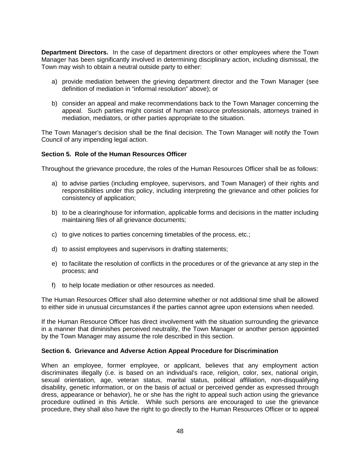**Department Directors.** In the case of department directors or other employees where the Town Manager has been significantly involved in determining disciplinary action, including dismissal, the Town may wish to obtain a neutral outside party to either:

- a) provide mediation between the grieving department director and the Town Manager (see definition of mediation in "informal resolution" above); or
- b) consider an appeal and make recommendations back to the Town Manager concerning the appeal. Such parties might consist of human resource professionals, attorneys trained in mediation, mediators, or other parties appropriate to the situation.

The Town Manager's decision shall be the final decision. The Town Manager will notify the Town Council of any impending legal action.

#### **Section 5. Role of the Human Resources Officer**

Throughout the grievance procedure, the roles of the Human Resources Officer shall be as follows:

- a) to advise parties (including employee, supervisors, and Town Manager) of their rights and responsibilities under this policy, including interpreting the grievance and other policies for consistency of application;
- b) to be a clearinghouse for information, applicable forms and decisions in the matter including maintaining files of all grievance documents;
- c) to give notices to parties concerning timetables of the process, etc.;
- d) to assist employees and supervisors in drafting statements;
- e) to facilitate the resolution of conflicts in the procedures or of the grievance at any step in the process; and
- f) to help locate mediation or other resources as needed.

The Human Resources Officer shall also determine whether or not additional time shall be allowed to either side in unusual circumstances if the parties cannot agree upon extensions when needed.

If the Human Resource Officer has direct involvement with the situation surrounding the grievance in a manner that diminishes perceived neutrality, the Town Manager or another person appointed by the Town Manager may assume the role described in this section.

#### **Section 6. Grievance and Adverse Action Appeal Procedure for Discrimination**

When an employee, former employee, or applicant, believes that any employment action discriminates illegally (i.e. is based on an individual's race, religion, color, sex, national origin, sexual orientation, age, veteran status, marital status, political affiliation, non-disqualifying disability, genetic information, or on the basis of actual or perceived gender as expressed through dress, appearance or behavior), he or she has the right to appeal such action using the grievance procedure outlined in this Article. While such persons are encouraged to use the grievance procedure, they shall also have the right to go directly to the Human Resources Officer or to appeal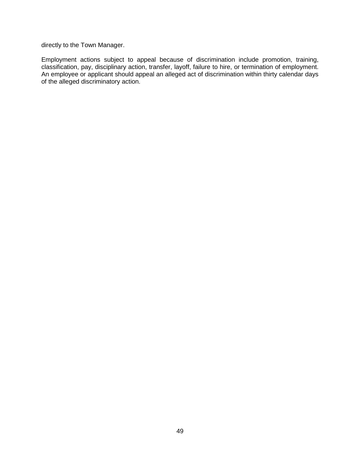directly to the Town Manager.

Employment actions subject to appeal because of discrimination include promotion, training, classification, pay, disciplinary action, transfer, layoff, failure to hire, or termination of employment. An employee or applicant should appeal an alleged act of discrimination within thirty calendar days of the alleged discriminatory action.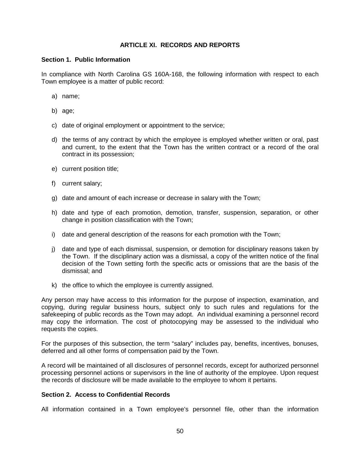#### **ARTICLE XI. RECORDS AND REPORTS**

#### **Section 1. Public Information**

In compliance with North Carolina GS 160A-168, the following information with respect to each Town employee is a matter of public record:

- a) name;
- b) age;
- c) date of original employment or appointment to the service;
- d) the terms of any contract by which the employee is employed whether written or oral, past and current, to the extent that the Town has the written contract or a record of the oral contract in its possession;
- e) current position title;
- f) current salary;
- g) date and amount of each increase or decrease in salary with the Town;
- h) date and type of each promotion, demotion, transfer, suspension, separation, or other change in position classification with the Town;
- i) date and general description of the reasons for each promotion with the Town;
- j) date and type of each dismissal, suspension, or demotion for disciplinary reasons taken by the Town. If the disciplinary action was a dismissal, a copy of the written notice of the final decision of the Town setting forth the specific acts or omissions that are the basis of the dismissal; and
- k) the office to which the employee is currently assigned.

Any person may have access to this information for the purpose of inspection, examination, and copying, during regular business hours, subject only to such rules and regulations for the safekeeping of public records as the Town may adopt. An individual examining a personnel record may copy the information. The cost of photocopying may be assessed to the individual who requests the copies.

For the purposes of this subsection, the term "salary" includes pay, benefits, incentives, bonuses, deferred and all other forms of compensation paid by the Town.

A record will be maintained of all disclosures of personnel records, except for authorized personnel processing personnel actions or supervisors in the line of authority of the employee. Upon request the records of disclosure will be made available to the employee to whom it pertains.

#### **Section 2. Access to Confidential Records**

All information contained in a Town employee's personnel file, other than the information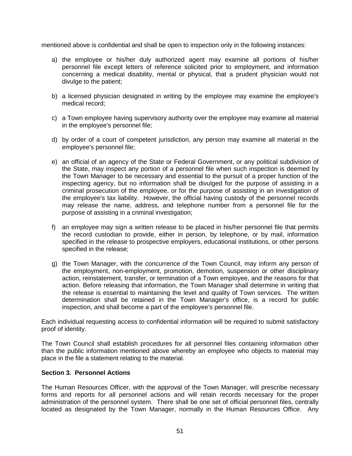mentioned above is confidential and shall be open to inspection only in the following instances:

- a) the employee or his/her duly authorized agent may examine all portions of his/her personnel file except letters of reference solicited prior to employment, and information concerning a medical disability, mental or physical, that a prudent physician would not divulge to the patient;
- b) a licensed physician designated in writing by the employee may examine the employee's medical record;
- c) a Town employee having supervisory authority over the employee may examine all material in the employee's personnel file;
- d) by order of a court of competent jurisdiction, any person may examine all material in the employee's personnel file;
- e) an official of an agency of the State or Federal Government, or any political subdivision of the State, may inspect any portion of a personnel file when such inspection is deemed by the Town Manager to be necessary and essential to the pursuit of a proper function of the inspecting agency, but no information shall be divulged for the purpose of assisting in a criminal prosecution of the employee, or for the purpose of assisting in an investigation of the employee's tax liability. However, the official having custody of the personnel records may release the name, address, and telephone number from a personnel file for the purpose of assisting in a criminal investigation;
- f) an employee may sign a written release to be placed in his/her personnel file that permits the record custodian to provide, either in person, by telephone, or by mail, information specified in the release to prospective employers, educational institutions, or other persons specified in the release;
- g) the Town Manager, with the concurrence of the Town Council, may inform any person of the employment, non-employment, promotion, demotion, suspension or other disciplinary action, reinstatement, transfer, or termination of a Town employee, and the reasons for that action. Before releasing that information, the Town Manager shall determine in writing that the release is essential to maintaining the level and quality of Town services. The written determination shall be retained in the Town Manager's office, is a record for public inspection, and shall become a part of the employee's personnel file.

Each individual requesting access to confidential information will be required to submit satisfactory proof of identity.

The Town Council shall establish procedures for all personnel files containing information other than the public information mentioned above whereby an employee who objects to material may place in the file a statement relating to the material.

#### **Section 3. Personnel Actions**

The Human Resources Officer, with the approval of the Town Manager, will prescribe necessary forms and reports for all personnel actions and will retain records necessary for the proper administration of the personnel system. There shall be one set of official personnel files, centrally located as designated by the Town Manager, normally in the Human Resources Office. Any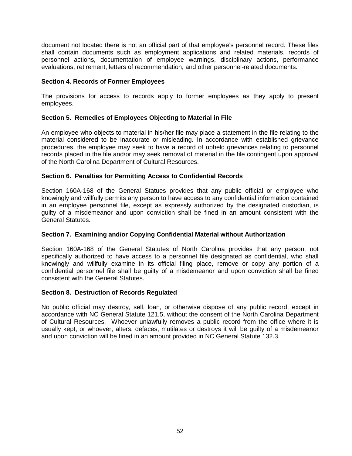document not located there is not an official part of that employee's personnel record. These files shall contain documents such as employment applications and related materials, records of personnel actions, documentation of employee warnings, disciplinary actions, performance evaluations, retirement, letters of recommendation, and other personnel-related documents.

#### **Section 4. Records of Former Employees**

The provisions for access to records apply to former employees as they apply to present employees.

#### **Section 5. Remedies of Employees Objecting to Material in File**

An employee who objects to material in his/her file may place a statement in the file relating to the material considered to be inaccurate or misleading. In accordance with established grievance procedures, the employee may seek to have a record of upheld grievances relating to personnel records placed in the file and/or may seek removal of material in the file contingent upon approval of the North Carolina Department of Cultural Resources.

#### **Section 6. Penalties for Permitting Access to Confidential Records**

Section 160A-168 of the General Statues provides that any public official or employee who knowingly and willfully permits any person to have access to any confidential information contained in an employee personnel file, except as expressly authorized by the designated custodian, is guilty of a misdemeanor and upon conviction shall be fined in an amount consistent with the General Statutes.

#### **Section 7. Examining and/or Copying Confidential Material without Authorization**

Section 160A-168 of the General Statutes of North Carolina provides that any person, not specifically authorized to have access to a personnel file designated as confidential, who shall knowingly and willfully examine in its official filing place, remove or copy any portion of a confidential personnel file shall be guilty of a misdemeanor and upon conviction shall be fined consistent with the General Statutes.

#### **Section 8. Destruction of Records Regulated**

No public official may destroy, sell, loan, or otherwise dispose of any public record, except in accordance with NC General Statute 121.5, without the consent of the North Carolina Department of Cultural Resources. Whoever unlawfully removes a public record from the office where it is usually kept, or whoever, alters, defaces, mutilates or destroys it will be guilty of a misdemeanor and upon conviction will be fined in an amount provided in NC General Statute 132.3.